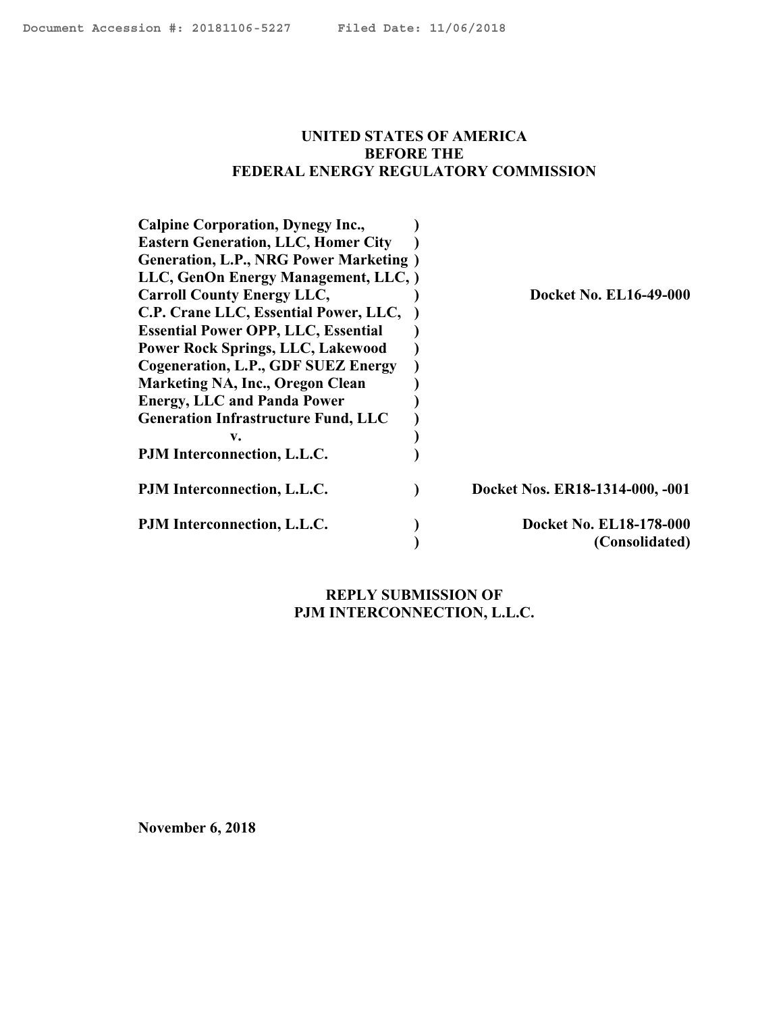#### <span id="page-0-0"></span>**UNITED STATES OF AMERICA BEFORE THE FEDERAL ENERGY REGULATORY COMMISSION**

| <b>Calpine Corporation, Dynegy Inc.,</b>       |                                 |
|------------------------------------------------|---------------------------------|
| <b>Eastern Generation, LLC, Homer City</b>     |                                 |
| <b>Generation, L.P., NRG Power Marketing</b> ) |                                 |
| LLC, GenOn Energy Management, LLC, )           |                                 |
| <b>Carroll County Energy LLC,</b>              | <b>Docket No. EL16-49-000</b>   |
| C.P. Crane LLC, Essential Power, LLC,          |                                 |
| <b>Essential Power OPP, LLC, Essential</b>     |                                 |
| <b>Power Rock Springs, LLC, Lakewood</b>       |                                 |
| Cogeneration, L.P., GDF SUEZ Energy            |                                 |
| Marketing NA, Inc., Oregon Clean               |                                 |
| <b>Energy, LLC and Panda Power</b>             |                                 |
| <b>Generation Infrastructure Fund, LLC</b>     |                                 |
| V.                                             |                                 |
| PJM Interconnection, L.L.C.                    |                                 |
| PJM Interconnection, L.L.C.                    | Docket Nos. ER18-1314-000, -001 |
| PJM Interconnection, L.L.C.                    | Docket No. EL18-178-000         |
|                                                | (Consolidated)                  |

# **REPLY SUBMISSION OF PJM INTERCONNECTION, L.L.C.**

**November 6, 2018**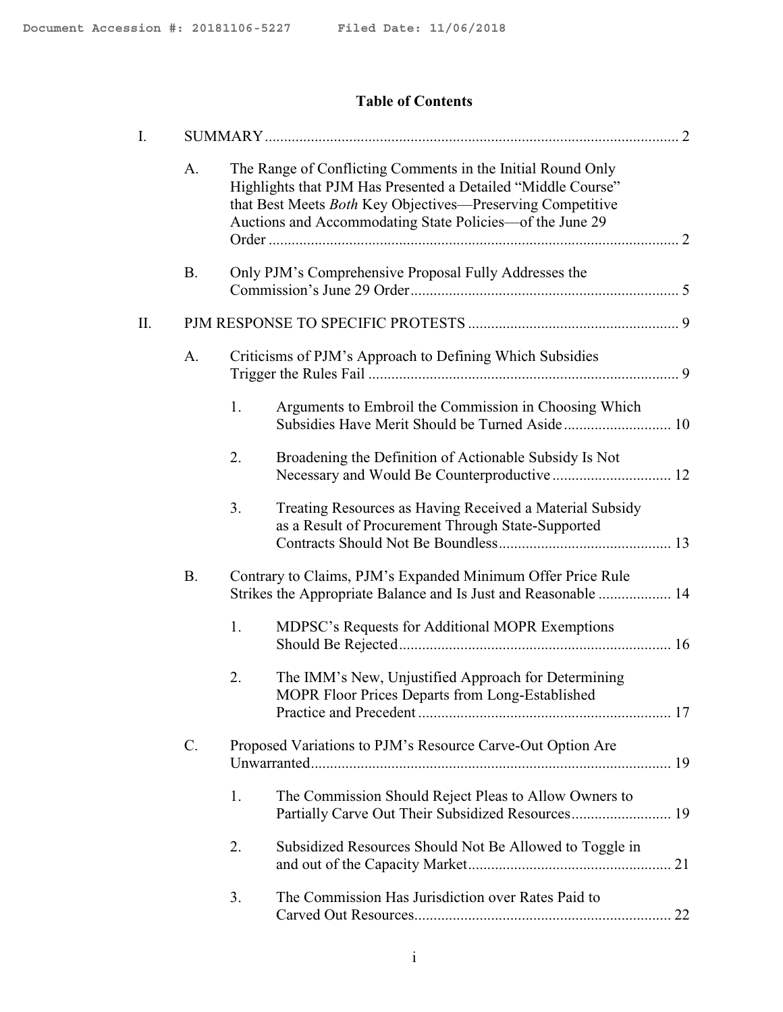# **Table of Contents**

| I. |           |                                                                                                                                                                                                                                                       |  |
|----|-----------|-------------------------------------------------------------------------------------------------------------------------------------------------------------------------------------------------------------------------------------------------------|--|
|    | A.        | The Range of Conflicting Comments in the Initial Round Only<br>Highlights that PJM Has Presented a Detailed "Middle Course"<br>that Best Meets Both Key Objectives—Preserving Competitive<br>Auctions and Accommodating State Policies-of the June 29 |  |
|    | <b>B.</b> | Only PJM's Comprehensive Proposal Fully Addresses the                                                                                                                                                                                                 |  |
| П. |           |                                                                                                                                                                                                                                                       |  |
|    | A.        | Criticisms of PJM's Approach to Defining Which Subsidies                                                                                                                                                                                              |  |
|    |           | 1.<br>Arguments to Embroil the Commission in Choosing Which<br>Subsidies Have Merit Should be Turned Aside 10                                                                                                                                         |  |
|    |           | Broadening the Definition of Actionable Subsidy Is Not<br>2.                                                                                                                                                                                          |  |
|    |           | 3.<br>Treating Resources as Having Received a Material Subsidy<br>as a Result of Procurement Through State-Supported                                                                                                                                  |  |
|    | <b>B.</b> | Contrary to Claims, PJM's Expanded Minimum Offer Price Rule<br>Strikes the Appropriate Balance and Is Just and Reasonable  14                                                                                                                         |  |
|    |           | MDPSC's Requests for Additional MOPR Exemptions<br>1.                                                                                                                                                                                                 |  |
|    |           | 2.<br>The IMM's New, Unjustified Approach for Determining<br>MOPR Floor Prices Departs from Long-Established                                                                                                                                          |  |
|    | $C$ .     | Proposed Variations to PJM's Resource Carve-Out Option Are                                                                                                                                                                                            |  |
|    |           | 1.<br>The Commission Should Reject Pleas to Allow Owners to<br>Partially Carve Out Their Subsidized Resources 19                                                                                                                                      |  |
|    |           | 2.<br>Subsidized Resources Should Not Be Allowed to Toggle in                                                                                                                                                                                         |  |
|    |           | The Commission Has Jurisdiction over Rates Paid to<br>3.                                                                                                                                                                                              |  |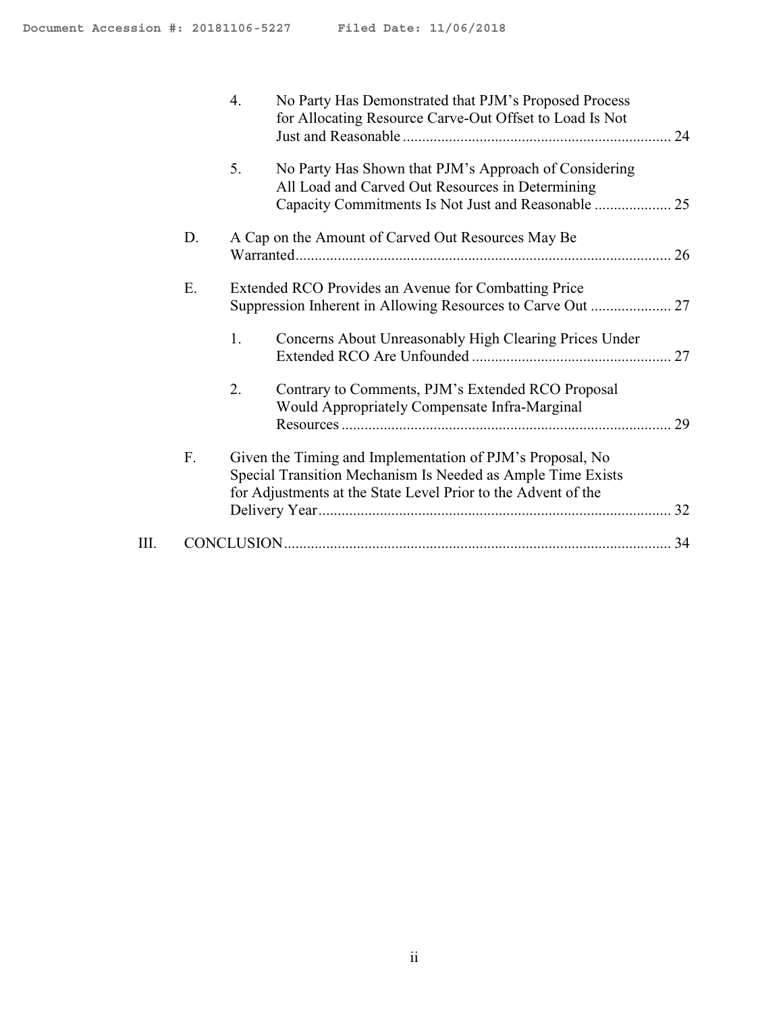|      |    | 4. | No Party Has Demonstrated that PJM's Proposed Process<br>for Allocating Resource Carve-Out Offset to Load Is Not                                                                          |  |
|------|----|----|-------------------------------------------------------------------------------------------------------------------------------------------------------------------------------------------|--|
|      |    | 5. | No Party Has Shown that PJM's Approach of Considering<br>All Load and Carved Out Resources in Determining                                                                                 |  |
|      | D. |    | A Cap on the Amount of Carved Out Resources May Be                                                                                                                                        |  |
|      | Ε. |    | Extended RCO Provides an Avenue for Combatting Price                                                                                                                                      |  |
|      |    | 1. | Concerns About Unreasonably High Clearing Prices Under                                                                                                                                    |  |
|      |    | 2. | Contrary to Comments, PJM's Extended RCO Proposal<br>Would Appropriately Compensate Infra-Marginal                                                                                        |  |
|      | F. |    | Given the Timing and Implementation of PJM's Proposal, No<br>Special Transition Mechanism Is Needed as Ample Time Exists<br>for Adjustments at the State Level Prior to the Advent of the |  |
| III. |    |    |                                                                                                                                                                                           |  |
|      |    |    |                                                                                                                                                                                           |  |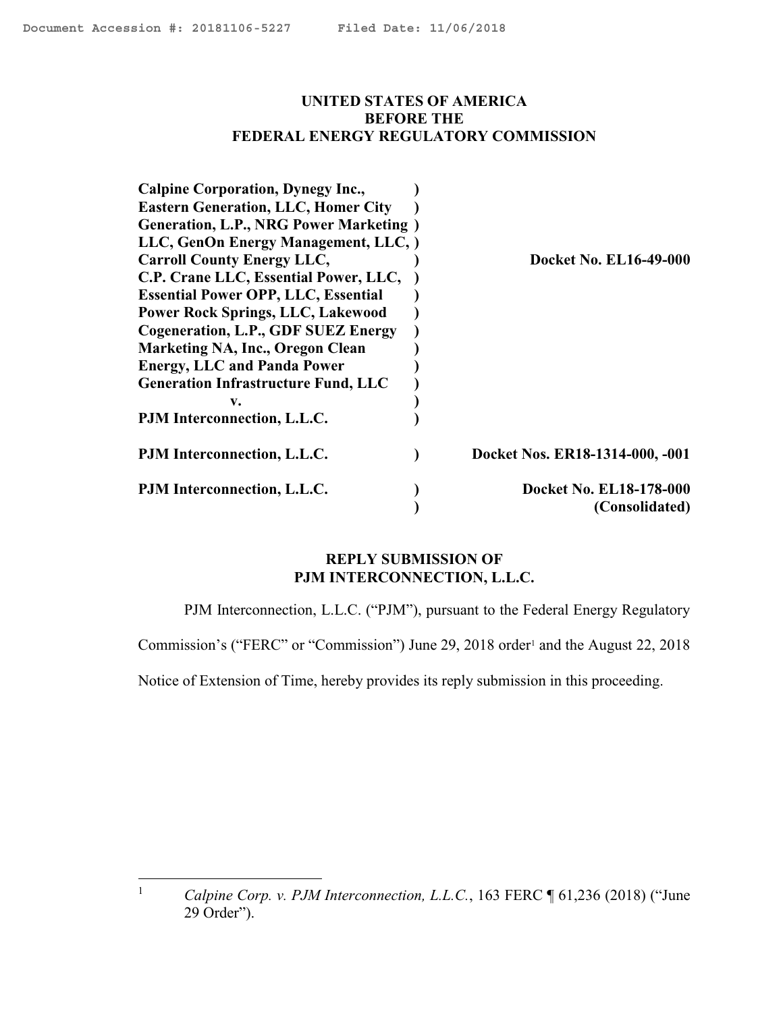#### **UNITED STATES OF AMERICA BEFORE THE FEDERAL ENERGY REGULATORY COMMISSION**

| <b>Calpine Corporation, Dynegy Inc.,</b>       |                                 |
|------------------------------------------------|---------------------------------|
| <b>Eastern Generation, LLC, Homer City</b>     |                                 |
| <b>Generation, L.P., NRG Power Marketing</b> ) |                                 |
| LLC, GenOn Energy Management, LLC, )           |                                 |
| <b>Carroll County Energy LLC,</b>              | <b>Docket No. EL16-49-000</b>   |
| C.P. Crane LLC, Essential Power, LLC,          |                                 |
| <b>Essential Power OPP, LLC, Essential</b>     |                                 |
| <b>Power Rock Springs, LLC, Lakewood</b>       |                                 |
| Cogeneration, L.P., GDF SUEZ Energy            |                                 |
| Marketing NA, Inc., Oregon Clean               |                                 |
| <b>Energy, LLC and Panda Power</b>             |                                 |
| <b>Generation Infrastructure Fund, LLC</b>     |                                 |
| v.                                             |                                 |
| PJM Interconnection, L.L.C.                    |                                 |
| PJM Interconnection, L.L.C.                    | Docket Nos. ER18-1314-000, -001 |
| PJM Interconnection, L.L.C.                    | Docket No. EL18-178-000         |
|                                                | (Consolidated)                  |

#### **REPLY SUBMISSION OF PJM INTERCONNECTION, L.L.C.**

PJM Interconnection, L.L.C. ("PJM"), pursuant to the Federal Energy Regulatory

Commission's ("FERC" or "Commission") June 29, 2018 order<sup>1</sup> and the August 22, 2018

Notice of Extension of Time, hereby provides its reply submission in this proceeding.

 $\mathbf{1}$ 

<sup>1</sup> *Calpine Corp. v. PJM Interconnection, L.L.C.*, 163 FERC ¶ 61,236 (2018) ("June 29 Order").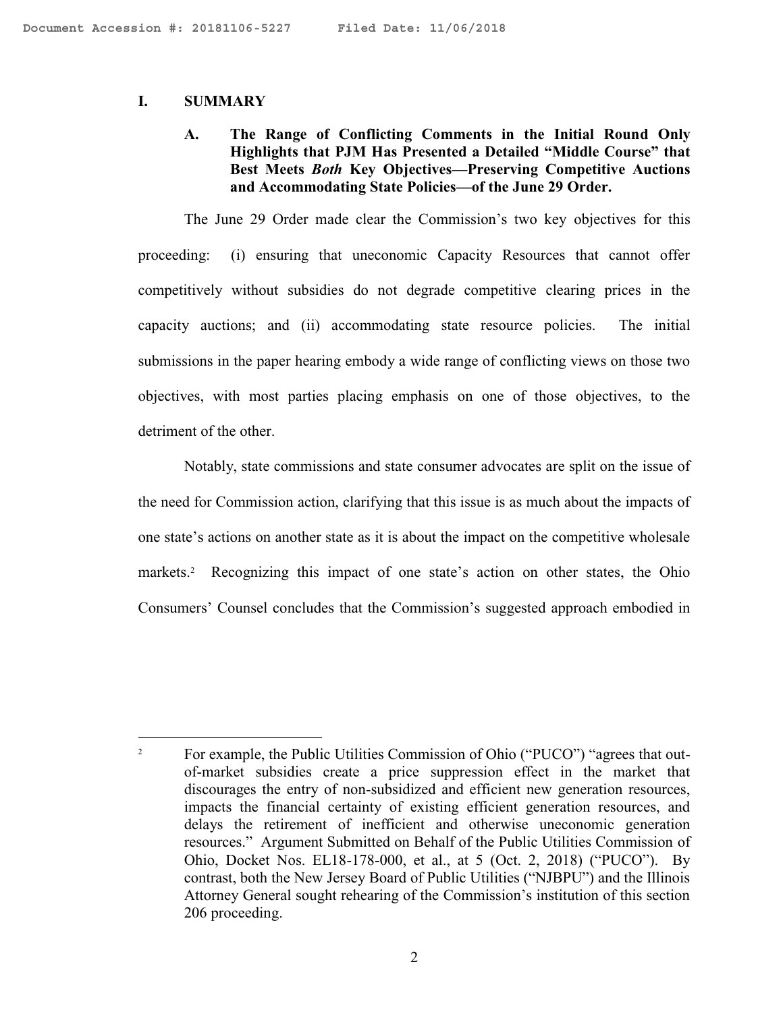#### **I. SUMMARY**

 $\overline{a}$ 

#### **A. The Range of Conflicting Comments in the Initial Round Only Highlights that PJM Has Presented a Detailed "Middle Course" that Best Meets** *Both* **Key Objectives—Preserving Competitive Auctions and Accommodating State Policies—of the June 29 Order.**

The June 29 Order made clear the Commission's two key objectives for this proceeding: (i) ensuring that uneconomic Capacity Resources that cannot offer competitively without subsidies do not degrade competitive clearing prices in the capacity auctions; and (ii) accommodating state resource policies. The initial submissions in the paper hearing embody a wide range of conflicting views on those two objectives, with most parties placing emphasis on one of those objectives, to the detriment of the other.

Notably, state commissions and state consumer advocates are split on the issue of the need for Commission action, clarifying that this issue is as much about the impacts of one state's actions on another state as it is about the impact on the competitive wholesale markets.<sup>2</sup> Recognizing this impact of one state's action on other states, the Ohio Consumers' Counsel concludes that the Commission's suggested approach embodied in

<sup>&</sup>lt;sup>2</sup> For example, the Public Utilities Commission of Ohio ("PUCO") "agrees that outof-market subsidies create a price suppression effect in the market that discourages the entry of non-subsidized and efficient new generation resources, impacts the financial certainty of existing efficient generation resources, and delays the retirement of inefficient and otherwise uneconomic generation resources." Argument Submitted on Behalf of the Public Utilities Commission of Ohio, Docket Nos. EL18-178-000, et al., at 5 (Oct. 2, 2018) ("PUCO"). By contrast, both the New Jersey Board of Public Utilities ("NJBPU") and the Illinois Attorney General sought rehearing of the Commission's institution of this section 206 proceeding.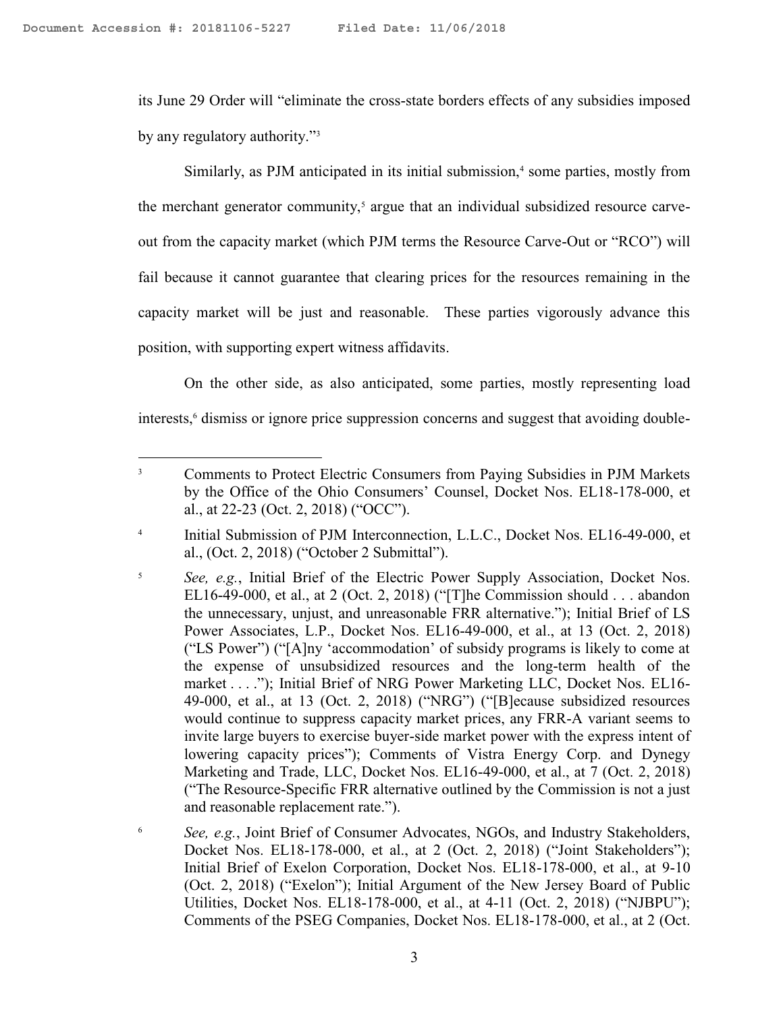$\overline{a}$ 

its June 29 Order will "eliminate the cross-state borders effects of any subsidies imposed by any regulatory authority."<sup>3</sup>

Similarly, as PJM anticipated in its initial submission,<sup>4</sup> some parties, mostly from the merchant generator community, $\delta$  argue that an individual subsidized resource carveout from the capacity market (which PJM terms the Resource Carve-Out or "RCO") will fail because it cannot guarantee that clearing prices for the resources remaining in the capacity market will be just and reasonable. These parties vigorously advance this position, with supporting expert witness affidavits.

On the other side, as also anticipated, some parties, mostly representing load interests,<sup>6</sup> dismiss or ignore price suppression concerns and suggest that avoiding double-

<sup>&</sup>lt;sup>3</sup> Comments to Protect Electric Consumers from Paying Subsidies in PJM Markets by the Office of the Ohio Consumers' Counsel, Docket Nos. EL18-178-000, et al., at 22-23 (Oct. 2, 2018) ("OCC").

<sup>4</sup> Initial Submission of PJM Interconnection, L.L.C., Docket Nos. EL16-49-000, et al., (Oct. 2, 2018) ("October 2 Submittal").

<sup>5</sup> *See, e.g.*, Initial Brief of the Electric Power Supply Association, Docket Nos. EL16-49-000, et al., at 2 (Oct. 2, 2018) ("[T]he Commission should . . . abandon the unnecessary, unjust, and unreasonable FRR alternative."); Initial Brief of LS Power Associates, L.P., Docket Nos. EL16-49-000, et al., at 13 (Oct. 2, 2018) ("LS Power") ("[A]ny 'accommodation' of subsidy programs is likely to come at the expense of unsubsidized resources and the long-term health of the market . . . ."); Initial Brief of NRG Power Marketing LLC, Docket Nos. EL16- 49-000, et al., at 13 (Oct. 2, 2018) ("NRG") ("[B]ecause subsidized resources would continue to suppress capacity market prices, any FRR-A variant seems to invite large buyers to exercise buyer-side market power with the express intent of lowering capacity prices"); Comments of Vistra Energy Corp. and Dynegy Marketing and Trade, LLC, Docket Nos. EL16-49-000, et al., at 7 (Oct. 2, 2018) ("The Resource-Specific FRR alternative outlined by the Commission is not a just and reasonable replacement rate.").

<sup>6</sup> *See, e.g.*, Joint Brief of Consumer Advocates, NGOs, and Industry Stakeholders, Docket Nos. EL18-178-000, et al., at 2 (Oct. 2, 2018) ("Joint Stakeholders"); Initial Brief of Exelon Corporation, Docket Nos. EL18-178-000, et al., at 9-10 (Oct. 2, 2018) ("Exelon"); Initial Argument of the New Jersey Board of Public Utilities, Docket Nos. EL18-178-000, et al., at 4-11 (Oct. 2, 2018) ("NJBPU"); Comments of the PSEG Companies, Docket Nos. EL18-178-000, et al., at 2 (Oct.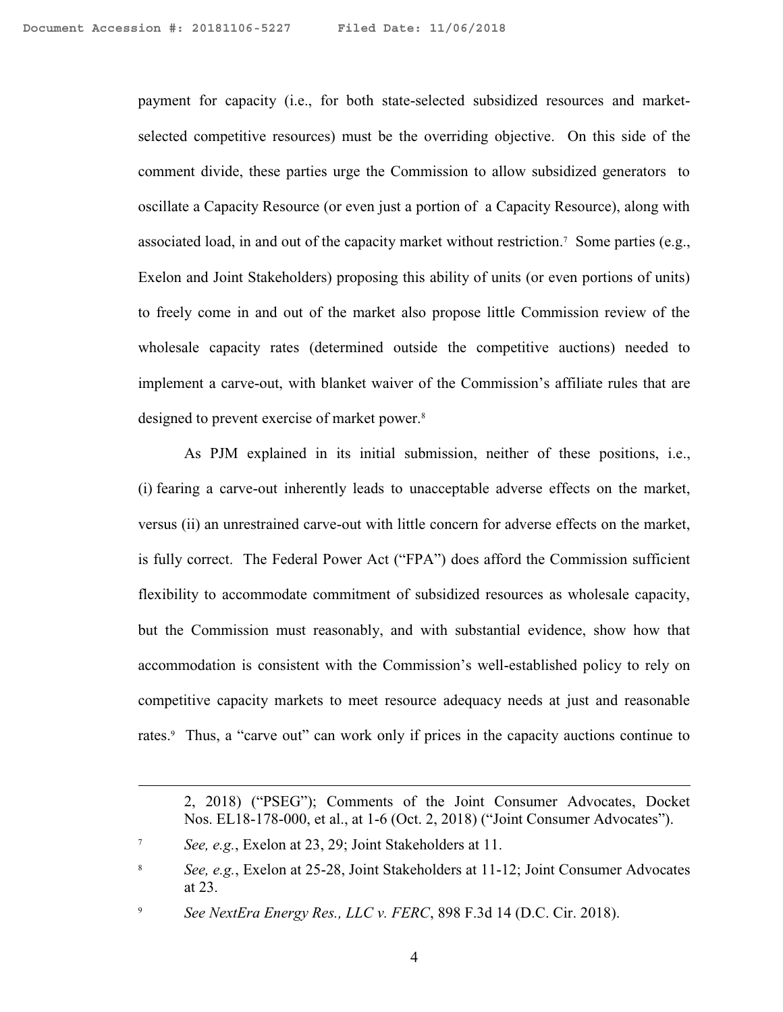payment for capacity (i.e., for both state-selected subsidized resources and marketselected competitive resources) must be the overriding objective. On this side of the comment divide, these parties urge the Commission to allow subsidized generators to oscillate a Capacity Resource (or even just a portion of a Capacity Resource), along with associated load, in and out of the capacity market without restriction.<sup>7</sup> Some parties (e.g., Exelon and Joint Stakeholders) proposing this ability of units (or even portions of units) to freely come in and out of the market also propose little Commission review of the wholesale capacity rates (determined outside the competitive auctions) needed to implement a carve-out, with blanket waiver of the Commission's affiliate rules that are designed to prevent exercise of market power.<sup>8</sup>

As PJM explained in its initial submission, neither of these positions, i.e., (i) fearing a carve-out inherently leads to unacceptable adverse effects on the market, versus (ii) an unrestrained carve-out with little concern for adverse effects on the market, is fully correct. The Federal Power Act ("FPA") does afford the Commission sufficient flexibility to accommodate commitment of subsidized resources as wholesale capacity, but the Commission must reasonably, and with substantial evidence, show how that accommodation is consistent with the Commission's well-established policy to rely on competitive capacity markets to meet resource adequacy needs at just and reasonable rates.<sup>9</sup> Thus, a "carve out" can work only if prices in the capacity auctions continue to

<sup>2, 2018) (&</sup>quot;PSEG"); Comments of the Joint Consumer Advocates, Docket Nos. EL18-178-000, et al., at 1-6 (Oct. 2, 2018) ("Joint Consumer Advocates").

<sup>7</sup> *See, e.g.*, Exelon at 23, 29; Joint Stakeholders at 11.

<sup>8</sup> *See, e.g.*, Exelon at 25-28, Joint Stakeholders at 11-12; Joint Consumer Advocates at 23.

<sup>9</sup> *See NextEra Energy Res., LLC v. FERC*, 898 F.3d 14 (D.C. Cir. 2018).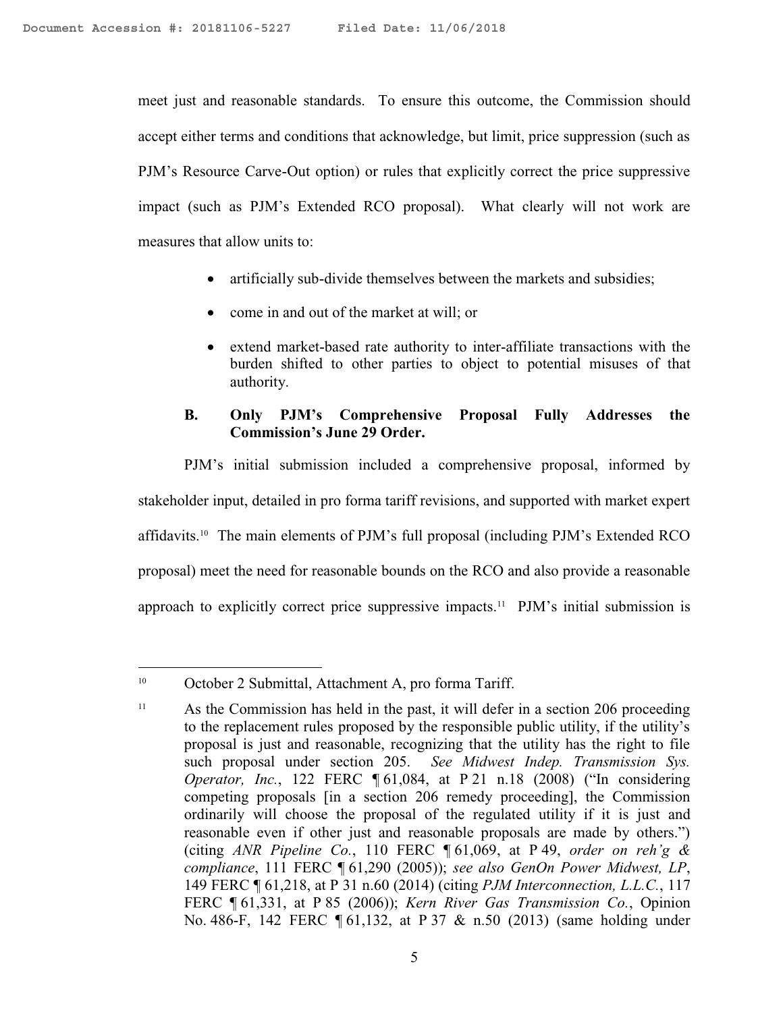meet just and reasonable standards. To ensure this outcome, the Commission should accept either terms and conditions that acknowledge, but limit, price suppression (such as PJM's Resource Carve-Out option) or rules that explicitly correct the price suppressive impact (such as PJM's Extended RCO proposal). What clearly will not work are measures that allow units to:

- artificially sub-divide themselves between the markets and subsidies;
- come in and out of the market at will; or
- extend market-based rate authority to inter-affiliate transactions with the burden shifted to other parties to object to potential misuses of that authority.

# **B. Only PJM's Comprehensive Proposal Fully Addresses the Commission's June 29 Order.**

PJM's initial submission included a comprehensive proposal, informed by stakeholder input, detailed in pro forma tariff revisions, and supported with market expert affidavits.<sup>10</sup> The main elements of PJM's full proposal (including PJM's Extended RCO proposal) meet the need for reasonable bounds on the RCO and also provide a reasonable approach to explicitly correct price suppressive impacts.<sup>11</sup> PJM's initial submission is

<sup>10</sup> October 2 Submittal, Attachment A, pro forma Tariff.

<sup>&</sup>lt;sup>11</sup> As the Commission has held in the past, it will defer in a section 206 proceeding to the replacement rules proposed by the responsible public utility, if the utility's proposal is just and reasonable, recognizing that the utility has the right to file such proposal under section 205. *See Midwest Indep. Transmission Sys. Operator, Inc.*, 122 FERC ¶ 61,084, at P 21 n.18 (2008) ("In considering competing proposals [in a section 206 remedy proceeding], the Commission ordinarily will choose the proposal of the regulated utility if it is just and reasonable even if other just and reasonable proposals are made by others.") (citing *ANR Pipeline Co.*, 110 FERC ¶ 61,069, at P 49, *order on reh'g & compliance*, 111 FERC ¶ 61,290 (2005)); *see also GenOn Power Midwest, LP*, 149 FERC ¶ 61,218, at P 31 n.60 (2014) (citing *PJM Interconnection, L.L.C.*, 117 FERC ¶ 61,331, at P 85 (2006)); *Kern River Gas Transmission Co.*, Opinion No. 486-F, 142 FERC ¶ 61,132, at P 37 & n.50 (2013) (same holding under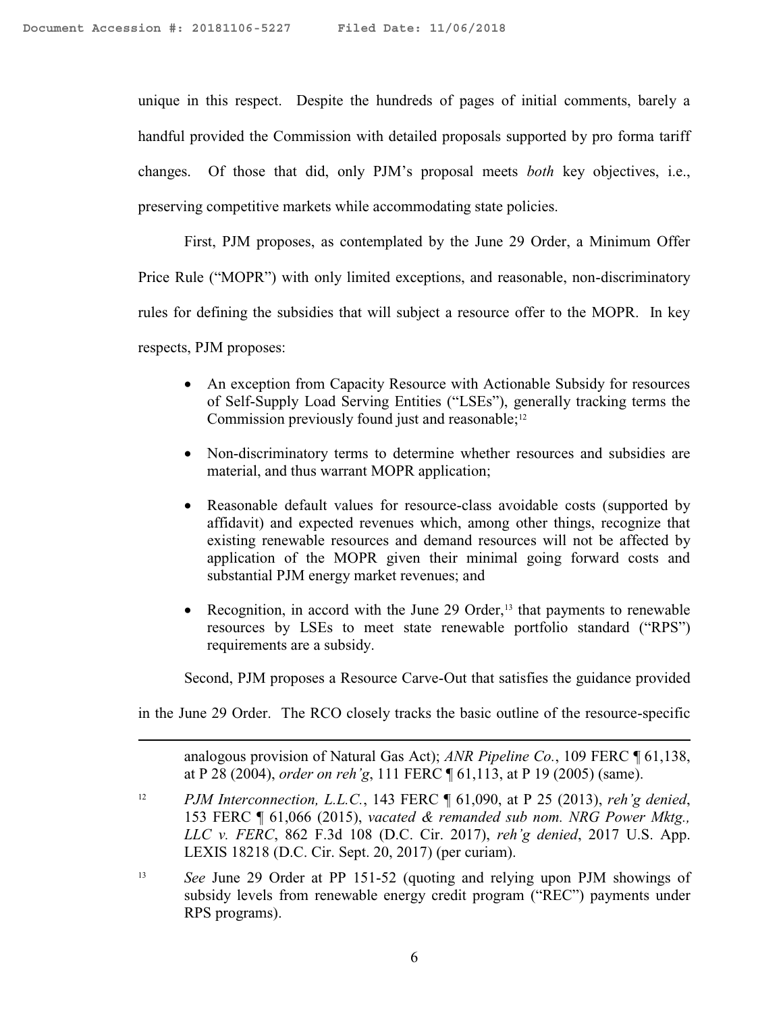$\overline{a}$ 

unique in this respect. Despite the hundreds of pages of initial comments, barely a handful provided the Commission with detailed proposals supported by pro forma tariff changes. Of those that did, only PJM's proposal meets *both* key objectives, i.e., preserving competitive markets while accommodating state policies.

First, PJM proposes, as contemplated by the June 29 Order, a Minimum Offer Price Rule ("MOPR") with only limited exceptions, and reasonable, non-discriminatory rules for defining the subsidies that will subject a resource offer to the MOPR. In key respects, PJM proposes:

- An exception from Capacity Resource with Actionable Subsidy for resources of Self-Supply Load Serving Entities ("LSEs"), generally tracking terms the Commission previously found just and reasonable;<sup>12</sup>
- Non-discriminatory terms to determine whether resources and subsidies are material, and thus warrant MOPR application;
- Reasonable default values for resource-class avoidable costs (supported by affidavit) and expected revenues which, among other things, recognize that existing renewable resources and demand resources will not be affected by application of the MOPR given their minimal going forward costs and substantial PJM energy market revenues; and
- Recognition, in accord with the June 29 Order,<sup>13</sup> that payments to renewable resources by LSEs to meet state renewable portfolio standard ("RPS") requirements are a subsidy.

Second, PJM proposes a Resource Carve-Out that satisfies the guidance provided

in the June 29 Order. The RCO closely tracks the basic outline of the resource-specific

analogous provision of Natural Gas Act); *ANR Pipeline Co.*, 109 FERC ¶ 61,138, at P 28 (2004), *order on reh'g*, 111 FERC ¶ 61,113, at P 19 (2005) (same).

- <sup>12</sup> *PJM Interconnection, L.L.C.*, 143 FERC ¶ 61,090, at P 25 (2013), *reh'g denied*, 153 FERC ¶ 61,066 (2015), *vacated & remanded sub nom. NRG Power Mktg., LLC v. FERC*, 862 F.3d 108 (D.C. Cir. 2017), *reh'g denied*, 2017 U.S. App. LEXIS 18218 (D.C. Cir. Sept. 20, 2017) (per curiam).
- <sup>13</sup> *See* June 29 Order at PP 151-52 (quoting and relying upon PJM showings of subsidy levels from renewable energy credit program ("REC") payments under RPS programs).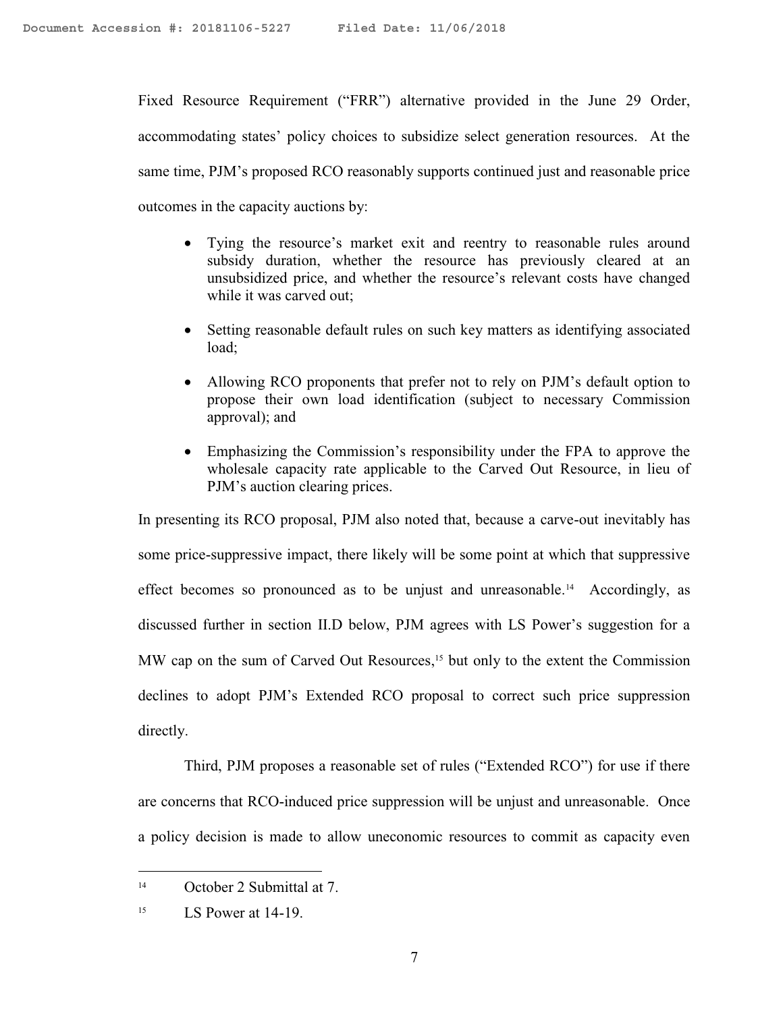Fixed Resource Requirement ("FRR") alternative provided in the June 29 Order, accommodating states' policy choices to subsidize select generation resources. At the same time, PJM's proposed RCO reasonably supports continued just and reasonable price outcomes in the capacity auctions by:

- Tying the resource's market exit and reentry to reasonable rules around subsidy duration, whether the resource has previously cleared at an unsubsidized price, and whether the resource's relevant costs have changed while it was carved out;
- Setting reasonable default rules on such key matters as identifying associated load;
- Allowing RCO proponents that prefer not to rely on PJM's default option to propose their own load identification (subject to necessary Commission approval); and
- Emphasizing the Commission's responsibility under the FPA to approve the wholesale capacity rate applicable to the Carved Out Resource, in lieu of PJM's auction clearing prices.

In presenting its RCO proposal, PJM also noted that, because a carve-out inevitably has some price-suppressive impact, there likely will be some point at which that suppressive effect becomes so pronounced as to be unjust and unreasonable.<sup>14</sup> Accordingly, as discussed further in section II.D below, PJM agrees with LS Power's suggestion for a MW cap on the sum of Carved Out Resources, <sup>15</sup> but only to the extent the Commission declines to adopt PJM's Extended RCO proposal to correct such price suppression directly.

Third, PJM proposes a reasonable set of rules ("Extended RCO") for use if there are concerns that RCO-induced price suppression will be unjust and unreasonable. Once a policy decision is made to allow uneconomic resources to commit as capacity even

<sup>14</sup> October 2 Submittal at 7.

<sup>&</sup>lt;sup>15</sup> LS Power at 14-19.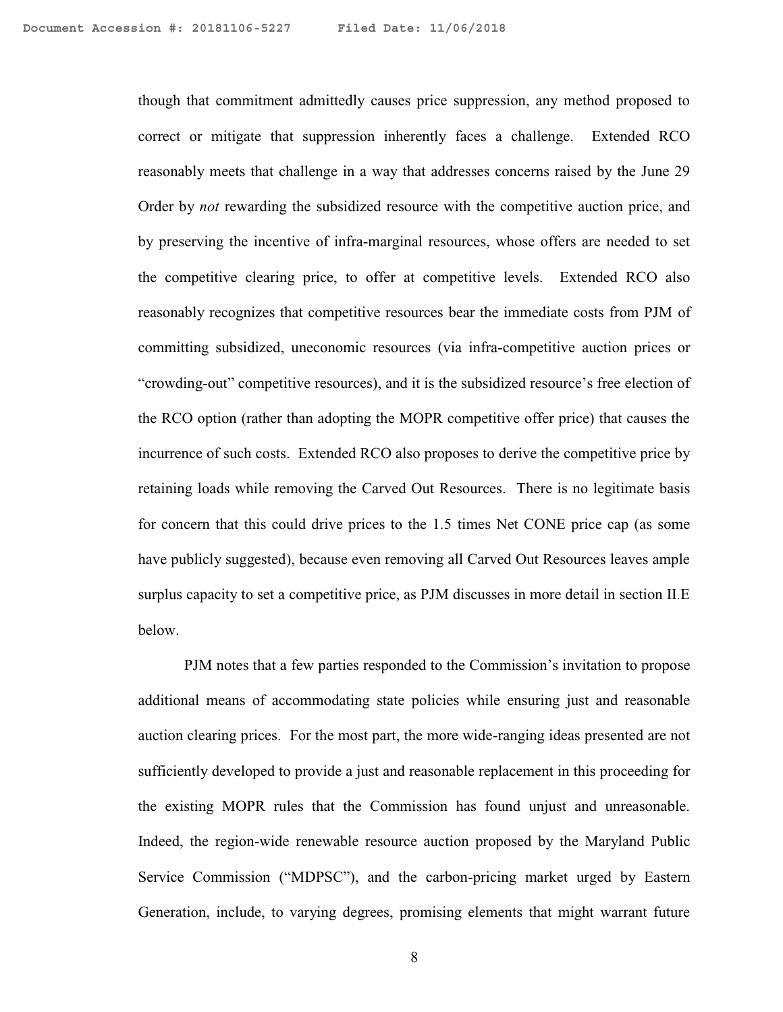though that commitment admittedly causes price suppression, any method proposed to correct or mitigate that suppression inherently faces a challenge. Extended RCO reasonably meets that challenge in a way that addresses concerns raised by the June 29 Order by *not* rewarding the subsidized resource with the competitive auction price, and by preserving the incentive of infra-marginal resources, whose offers are needed to set the competitive clearing price, to offer at competitive levels. Extended RCO also reasonably recognizes that competitive resources bear the immediate costs from PJM of committing subsidized, uneconomic resources (via infra-competitive auction prices or "crowding-out" competitive resources), and it is the subsidized resource's free election of the RCO option (rather than adopting the MOPR competitive offer price) that causes the incurrence of such costs. Extended RCO also proposes to derive the competitive price by retaining loads while removing the Carved Out Resources. There is no legitimate basis for concern that this could drive prices to the 1.5 times Net CONE price cap (as some have publicly suggested), because even removing all Carved Out Resources leaves ample surplus capacity to set a competitive price, as PJM discusses in more detail in section II.E below.

PJM notes that a few parties responded to the Commission's invitation to propose additional means of accommodating state policies while ensuring just and reasonable auction clearing prices. For the most part, the more wide-ranging ideas presented are not sufficiently developed to provide a just and reasonable replacement in this proceeding for the existing MOPR rules that the Commission has found unjust and unreasonable. Indeed, the region-wide renewable resource auction proposed by the Maryland Public Service Commission ("MDPSC"), and the carbon-pricing market urged by Eastern Generation, include, to varying degrees, promising elements that might warrant future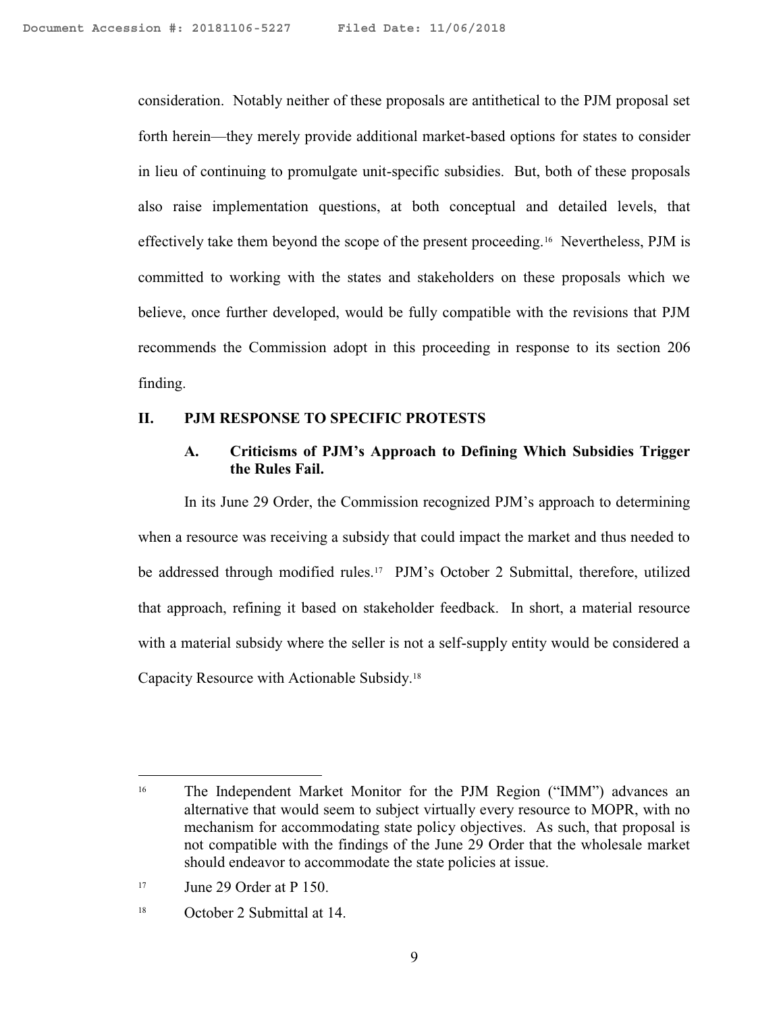consideration. Notably neither of these proposals are antithetical to the PJM proposal set forth herein—they merely provide additional market-based options for states to consider in lieu of continuing to promulgate unit-specific subsidies. But, both of these proposals also raise implementation questions, at both conceptual and detailed levels, that effectively take them beyond the scope of the present proceeding.<sup>16</sup> Nevertheless, PJM is committed to working with the states and stakeholders on these proposals which we believe, once further developed, would be fully compatible with the revisions that PJM recommends the Commission adopt in this proceeding in response to its section 206 finding.

#### **II. PJM RESPONSE TO SPECIFIC PROTESTS**

#### **A. Criticisms of PJM's Approach to Defining Which Subsidies Trigger the Rules Fail.**

In its June 29 Order, the Commission recognized PJM's approach to determining when a resource was receiving a subsidy that could impact the market and thus needed to be addressed through modified rules.<sup>17</sup> PJM's October 2 Submittal, therefore, utilized that approach, refining it based on stakeholder feedback. In short, a material resource with a material subsidy where the seller is not a self-supply entity would be considered a Capacity Resource with Actionable Subsidy.<sup>18</sup>

<sup>&</sup>lt;sup>16</sup> The Independent Market Monitor for the PJM Region ("IMM") advances an alternative that would seem to subject virtually every resource to MOPR, with no mechanism for accommodating state policy objectives. As such, that proposal is not compatible with the findings of the June 29 Order that the wholesale market should endeavor to accommodate the state policies at issue.

 $17$  June 29 Order at P 150.

<sup>18</sup> October 2 Submittal at 14.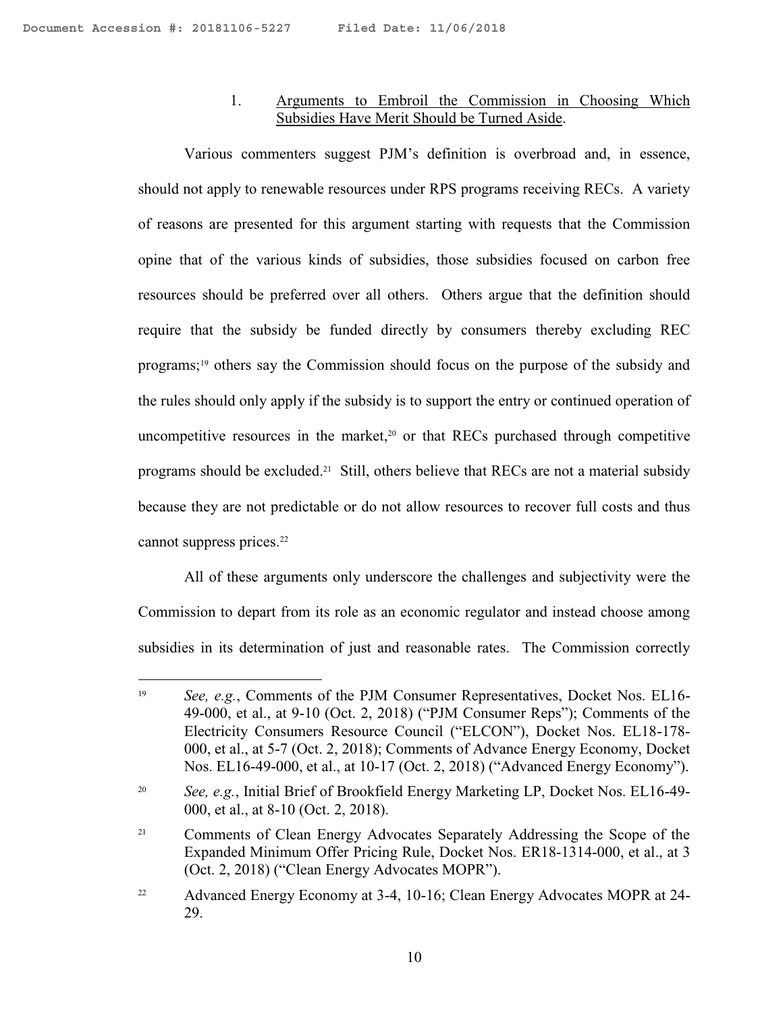$\overline{a}$ 

# 1. Arguments to Embroil the Commission in Choosing Which Subsidies Have Merit Should be Turned Aside.

Various commenters suggest PJM's definition is overbroad and, in essence, should not apply to renewable resources under RPS programs receiving RECs. A variety of reasons are presented for this argument starting with requests that the Commission opine that of the various kinds of subsidies, those subsidies focused on carbon free resources should be preferred over all others. Others argue that the definition should require that the subsidy be funded directly by consumers thereby excluding REC programs;<sup>19</sup> others say the Commission should focus on the purpose of the subsidy and the rules should only apply if the subsidy is to support the entry or continued operation of uncompetitive resources in the market, <sup>20</sup> or that RECs purchased through competitive programs should be excluded.<sup>21</sup> Still, others believe that RECs are not a material subsidy because they are not predictable or do not allow resources to recover full costs and thus cannot suppress prices.<sup>22</sup>

All of these arguments only underscore the challenges and subjectivity were the Commission to depart from its role as an economic regulator and instead choose among subsidies in its determination of just and reasonable rates. The Commission correctly

<sup>&</sup>lt;sup>19</sup> *See, e.g.*, Comments of the PJM Consumer Representatives, Docket Nos. EL16-49-000, et al., at 9-10 (Oct. 2, 2018) ("PJM Consumer Reps"); Comments of the Electricity Consumers Resource Council ("ELCON"), Docket Nos. EL18-178- 000, et al., at 5-7 (Oct. 2, 2018); Comments of Advance Energy Economy, Docket Nos. EL16-49-000, et al., at 10-17 (Oct. 2, 2018) ("Advanced Energy Economy").

<sup>20</sup> *See, e.g.*, Initial Brief of Brookfield Energy Marketing LP, Docket Nos. EL16-49- 000, et al., at 8-10 (Oct. 2, 2018).

<sup>&</sup>lt;sup>21</sup> Comments of Clean Energy Advocates Separately Addressing the Scope of the Expanded Minimum Offer Pricing Rule, Docket Nos. ER18-1314-000, et al., at 3 (Oct. 2, 2018) ("Clean Energy Advocates MOPR").

<sup>&</sup>lt;sup>22</sup> Advanced Energy Economy at 3-4, 10-16; Clean Energy Advocates MOPR at 24-29.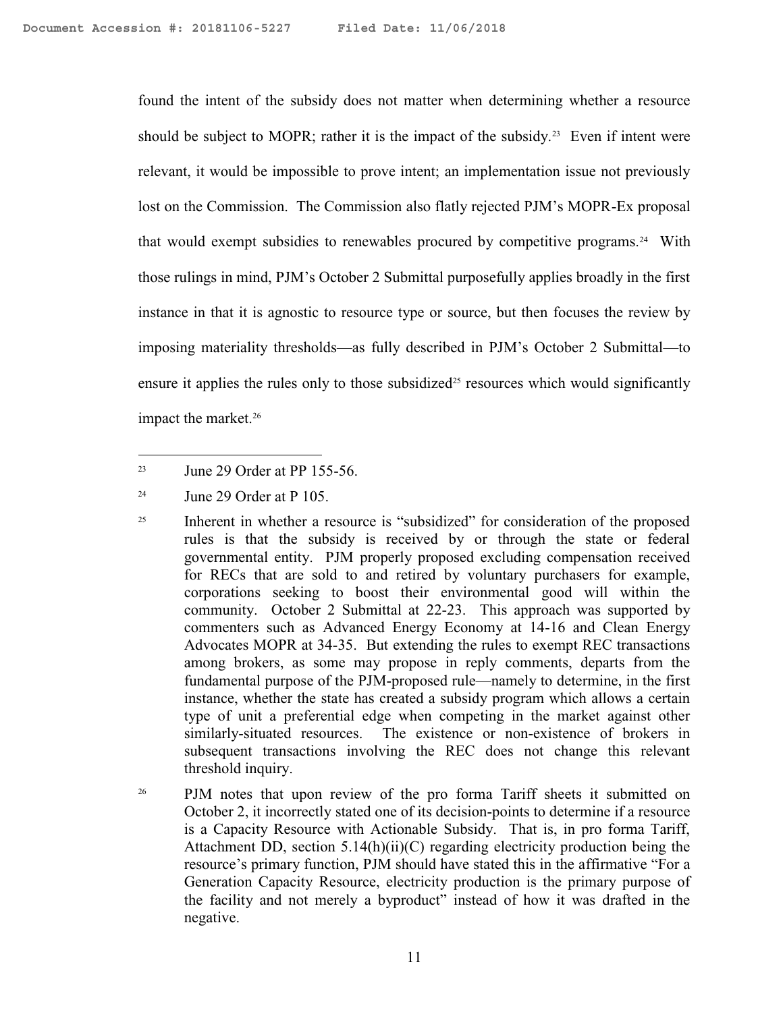found the intent of the subsidy does not matter when determining whether a resource should be subject to MOPR; rather it is the impact of the subsidy.<sup>23</sup> Even if intent were relevant, it would be impossible to prove intent; an implementation issue not previously lost on the Commission. The Commission also flatly rejected PJM's MOPR-Ex proposal that would exempt subsidies to renewables procured by competitive programs.<sup>24</sup> With those rulings in mind, PJM's October 2 Submittal purposefully applies broadly in the first instance in that it is agnostic to resource type or source, but then focuses the review by imposing materiality thresholds—as fully described in PJM's October 2 Submittal—to ensure it applies the rules only to those subsidized<sup>25</sup> resources which would significantly impact the market.<sup>26</sup>

<sup>&</sup>lt;sup>23</sup> June 29 Order at PP 155-56.

 $24$  June 29 Order at P 105.

<sup>&</sup>lt;sup>25</sup> Inherent in whether a resource is "subsidized" for consideration of the proposed rules is that the subsidy is received by or through the state or federal governmental entity. PJM properly proposed excluding compensation received for RECs that are sold to and retired by voluntary purchasers for example, corporations seeking to boost their environmental good will within the community. October 2 Submittal at 22-23. This approach was supported by commenters such as Advanced Energy Economy at 14-16 and Clean Energy Advocates MOPR at 34-35. But extending the rules to exempt REC transactions among brokers, as some may propose in reply comments, departs from the fundamental purpose of the PJM-proposed rule—namely to determine, in the first instance, whether the state has created a subsidy program which allows a certain type of unit a preferential edge when competing in the market against other similarly-situated resources. The existence or non-existence of brokers in subsequent transactions involving the REC does not change this relevant threshold inquiry.

<sup>&</sup>lt;sup>26</sup> PJM notes that upon review of the pro forma Tariff sheets it submitted on October 2, it incorrectly stated one of its decision-points to determine if a resource is a Capacity Resource with Actionable Subsidy. That is, in pro forma Tariff, Attachment DD, section 5.14(h)(ii)(C) regarding electricity production being the resource's primary function, PJM should have stated this in the affirmative "For a Generation Capacity Resource, electricity production is the primary purpose of the facility and not merely a byproduct" instead of how it was drafted in the negative.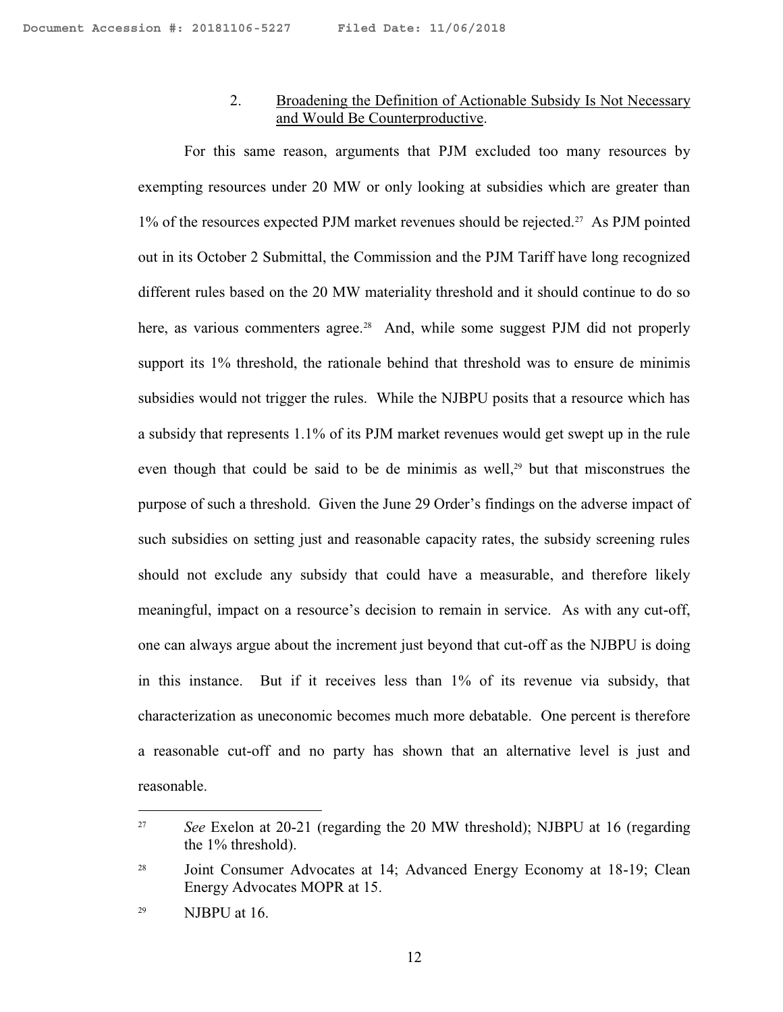#### 2. Broadening the Definition of Actionable Subsidy Is Not Necessary and Would Be Counterproductive.

For this same reason, arguments that PJM excluded too many resources by exempting resources under 20 MW or only looking at subsidies which are greater than 1% of the resources expected PJM market revenues should be rejected.<sup>27</sup> As PJM pointed out in its October 2 Submittal, the Commission and the PJM Tariff have long recognized different rules based on the 20 MW materiality threshold and it should continue to do so here, as various commenters agree.<sup>28</sup> And, while some suggest PJM did not properly support its 1% threshold, the rationale behind that threshold was to ensure de minimis subsidies would not trigger the rules. While the NJBPU posits that a resource which has a subsidy that represents 1.1% of its PJM market revenues would get swept up in the rule even though that could be said to be de minimis as well,<sup>29</sup> but that misconstrues the purpose of such a threshold. Given the June 29 Order's findings on the adverse impact of such subsidies on setting just and reasonable capacity rates, the subsidy screening rules should not exclude any subsidy that could have a measurable, and therefore likely meaningful, impact on a resource's decision to remain in service. As with any cut-off, one can always argue about the increment just beyond that cut-off as the NJBPU is doing in this instance. But if it receives less than 1% of its revenue via subsidy, that characterization as uneconomic becomes much more debatable. One percent is therefore a reasonable cut-off and no party has shown that an alternative level is just and reasonable.

<sup>&</sup>lt;sup>27</sup> *See* Exelon at 20-21 (regarding the 20 MW threshold); NJBPU at 16 (regarding the 1% threshold).

<sup>&</sup>lt;sup>28</sup> Joint Consumer Advocates at 14; Advanced Energy Economy at 18-19; Clean Energy Advocates MOPR at 15.

<sup>29</sup> NJBPU at 16.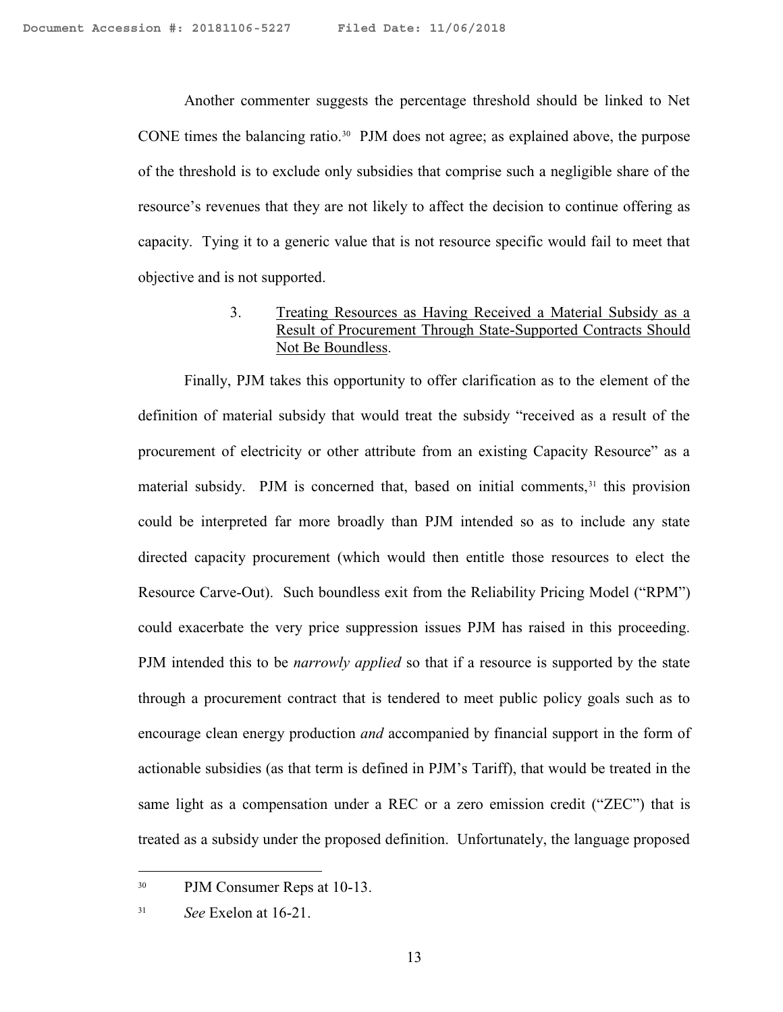Another commenter suggests the percentage threshold should be linked to Net CONE times the balancing ratio.<sup>30</sup> PJM does not agree; as explained above, the purpose of the threshold is to exclude only subsidies that comprise such a negligible share of the resource's revenues that they are not likely to affect the decision to continue offering as capacity. Tying it to a generic value that is not resource specific would fail to meet that objective and is not supported.

#### 3. Treating Resources as Having Received a Material Subsidy as a Result of Procurement Through State-Supported Contracts Should Not Be Boundless.

Finally, PJM takes this opportunity to offer clarification as to the element of the definition of material subsidy that would treat the subsidy "received as a result of the procurement of electricity or other attribute from an existing Capacity Resource" as a material subsidy. PJM is concerned that, based on initial comments, $3<sup>1</sup>$  this provision could be interpreted far more broadly than PJM intended so as to include any state directed capacity procurement (which would then entitle those resources to elect the Resource Carve-Out). Such boundless exit from the Reliability Pricing Model ("RPM") could exacerbate the very price suppression issues PJM has raised in this proceeding. PJM intended this to be *narrowly applied* so that if a resource is supported by the state through a procurement contract that is tendered to meet public policy goals such as to encourage clean energy production *and* accompanied by financial support in the form of actionable subsidies (as that term is defined in PJM's Tariff), that would be treated in the same light as a compensation under a REC or a zero emission credit ("ZEC") that is treated as a subsidy under the proposed definition. Unfortunately, the language proposed

<sup>30</sup> PJM Consumer Reps at 10-13.

<sup>31</sup> *See* Exelon at 16-21.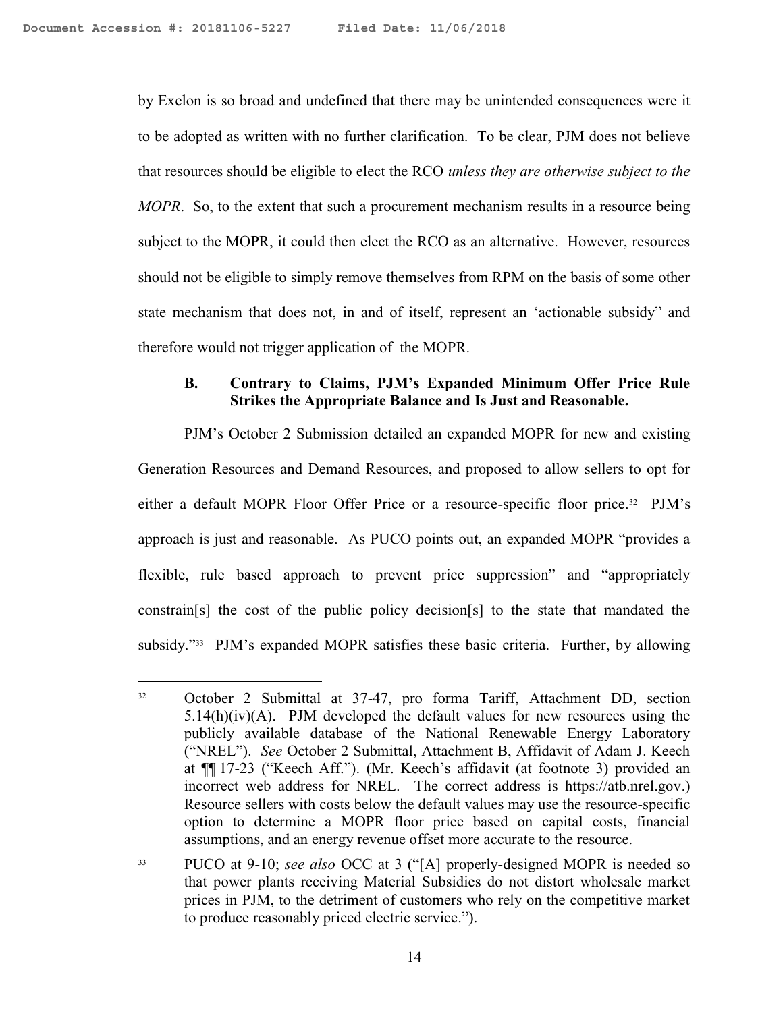$\overline{a}$ 

by Exelon is so broad and undefined that there may be unintended consequences were it to be adopted as written with no further clarification. To be clear, PJM does not believe that resources should be eligible to elect the RCO *unless they are otherwise subject to the MOPR*. So, to the extent that such a procurement mechanism results in a resource being subject to the MOPR, it could then elect the RCO as an alternative. However, resources should not be eligible to simply remove themselves from RPM on the basis of some other state mechanism that does not, in and of itself, represent an 'actionable subsidy" and therefore would not trigger application of the MOPR.

# **B. Contrary to Claims, PJM's Expanded Minimum Offer Price Rule Strikes the Appropriate Balance and Is Just and Reasonable.**

PJM's October 2 Submission detailed an expanded MOPR for new and existing Generation Resources and Demand Resources, and proposed to allow sellers to opt for either a default MOPR Floor Offer Price or a resource-specific floor price.<sup>32</sup> PJM's approach is just and reasonable. As PUCO points out, an expanded MOPR "provides a flexible, rule based approach to prevent price suppression" and "appropriately constrain[s] the cost of the public policy decision[s] to the state that mandated the subsidy."<sup>33</sup> PJM's expanded MOPR satisfies these basic criteria. Further, by allowing

<sup>32</sup> October 2 Submittal at 37-47, pro forma Tariff, Attachment DD, section  $5.14(h)(iv)(A)$ . PJM developed the default values for new resources using the publicly available database of the National Renewable Energy Laboratory ("NREL"). *See* October 2 Submittal, Attachment B, Affidavit of Adam J. Keech at ¶¶ 17-23 ("Keech Aff."). (Mr. Keech's affidavit (at footnote 3) provided an incorrect web address for NREL. The correct address is https://atb.nrel.gov.) Resource sellers with costs below the default values may use the resource-specific option to determine a MOPR floor price based on capital costs, financial assumptions, and an energy revenue offset more accurate to the resource.

<sup>33</sup> PUCO at 9-10; *see also* OCC at 3 ("[A] properly-designed MOPR is needed so that power plants receiving Material Subsidies do not distort wholesale market prices in PJM, to the detriment of customers who rely on the competitive market to produce reasonably priced electric service.").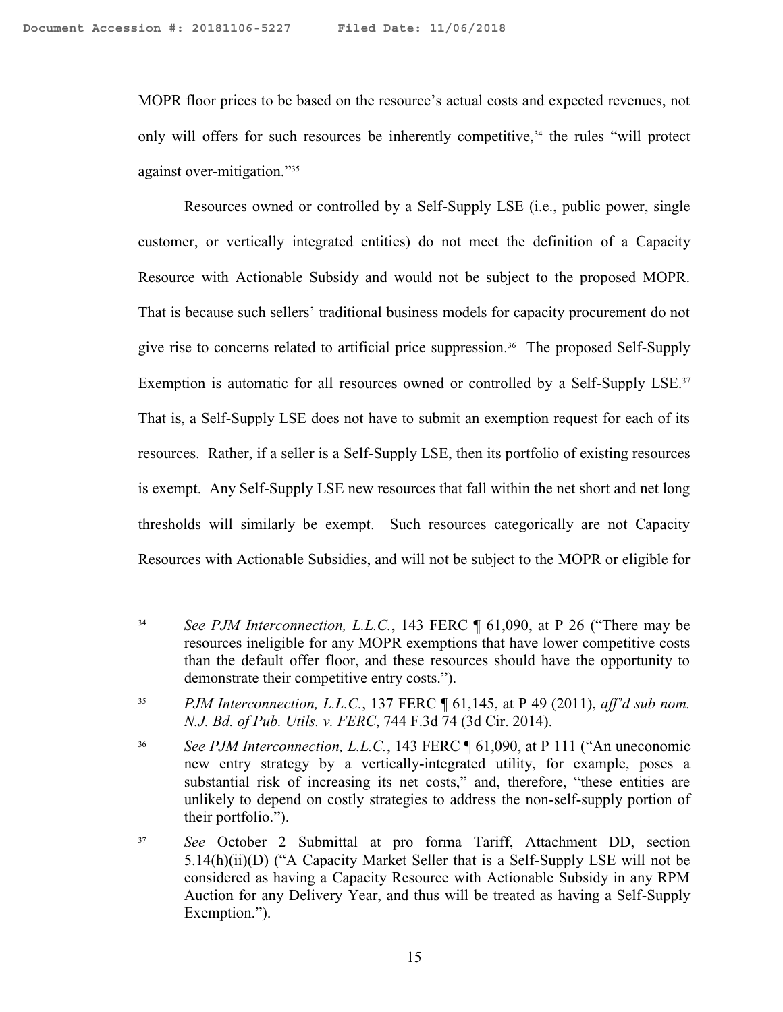$\overline{a}$ 

MOPR floor prices to be based on the resource's actual costs and expected revenues, not only will offers for such resources be inherently competitive, $34$  the rules "will protect against over-mitigation."<sup>35</sup>

Resources owned or controlled by a Self-Supply LSE (i.e., public power, single customer, or vertically integrated entities) do not meet the definition of a Capacity Resource with Actionable Subsidy and would not be subject to the proposed MOPR. That is because such sellers' traditional business models for capacity procurement do not give rise to concerns related to artificial price suppression.<sup>36</sup> The proposed Self-Supply Exemption is automatic for all resources owned or controlled by a Self-Supply LSE.<sup>37</sup> That is, a Self-Supply LSE does not have to submit an exemption request for each of its resources. Rather, if a seller is a Self-Supply LSE, then its portfolio of existing resources is exempt. Any Self-Supply LSE new resources that fall within the net short and net long thresholds will similarly be exempt. Such resources categorically are not Capacity Resources with Actionable Subsidies, and will not be subject to the MOPR or eligible for

<sup>&</sup>lt;sup>34</sup> *See PJM Interconnection, L.L.C.*, 143 FERC ¶ 61,090, at P 26 ("There may be resources ineligible for any MOPR exemptions that have lower competitive costs than the default offer floor, and these resources should have the opportunity to demonstrate their competitive entry costs.").

<sup>35</sup> *PJM Interconnection, L.L.C.*, 137 FERC ¶ 61,145, at P 49 (2011), *aff'd sub nom. N.J. Bd. of Pub. Utils. v. FERC*, 744 F.3d 74 (3d Cir. 2014).

<sup>36</sup> *See PJM Interconnection, L.L.C.*, 143 FERC ¶ 61,090, at P 111 ("An uneconomic new entry strategy by a vertically-integrated utility, for example, poses a substantial risk of increasing its net costs," and, therefore, "these entities are unlikely to depend on costly strategies to address the non-self-supply portion of their portfolio.").

<sup>37</sup> *See* October 2 Submittal at pro forma Tariff, Attachment DD, section 5.14(h)(ii)(D) ("A Capacity Market Seller that is a Self-Supply LSE will not be considered as having a Capacity Resource with Actionable Subsidy in any RPM Auction for any Delivery Year, and thus will be treated as having a Self-Supply Exemption.").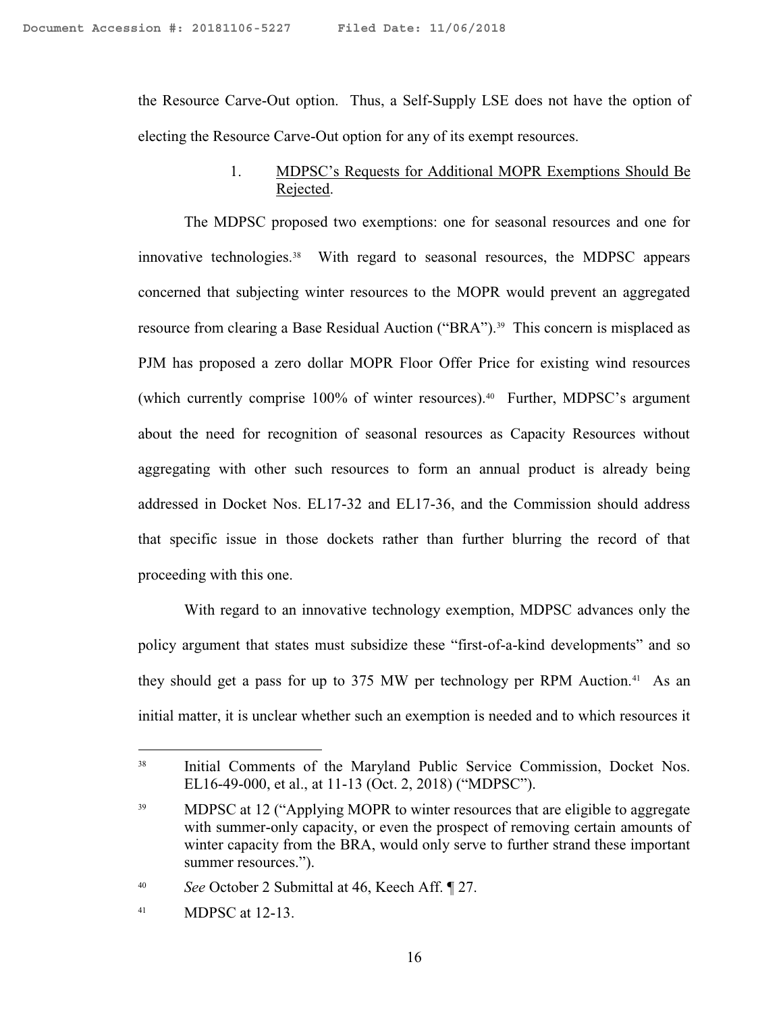the Resource Carve-Out option. Thus, a Self-Supply LSE does not have the option of electing the Resource Carve-Out option for any of its exempt resources.

#### 1. MDPSC's Requests for Additional MOPR Exemptions Should Be Rejected.

The MDPSC proposed two exemptions: one for seasonal resources and one for innovative technologies.<sup>38</sup> With regard to seasonal resources, the MDPSC appears concerned that subjecting winter resources to the MOPR would prevent an aggregated resource from clearing a Base Residual Auction ("BRA").<sup>39</sup> This concern is misplaced as PJM has proposed a zero dollar MOPR Floor Offer Price for existing wind resources (which currently comprise 100% of winter resources).<sup>40</sup> Further, MDPSC's argument about the need for recognition of seasonal resources as Capacity Resources without aggregating with other such resources to form an annual product is already being addressed in Docket Nos. EL17-32 and EL17-36, and the Commission should address that specific issue in those dockets rather than further blurring the record of that proceeding with this one.

With regard to an innovative technology exemption, MDPSC advances only the policy argument that states must subsidize these "first-of-a-kind developments" and so they should get a pass for up to 375 MW per technology per RPM Auction.<sup>41</sup> As an initial matter, it is unclear whether such an exemption is needed and to which resources it

<sup>&</sup>lt;sup>38</sup> Initial Comments of the Maryland Public Service Commission, Docket Nos. EL16-49-000, et al., at 11-13 (Oct. 2, 2018) ("MDPSC").

<sup>39</sup> MDPSC at 12 ("Applying MOPR to winter resources that are eligible to aggregate with summer-only capacity, or even the prospect of removing certain amounts of winter capacity from the BRA, would only serve to further strand these important summer resources.").

<sup>40</sup> *See* October 2 Submittal at 46, Keech Aff. ¶ 27.

<sup>41</sup> MDPSC at 12-13.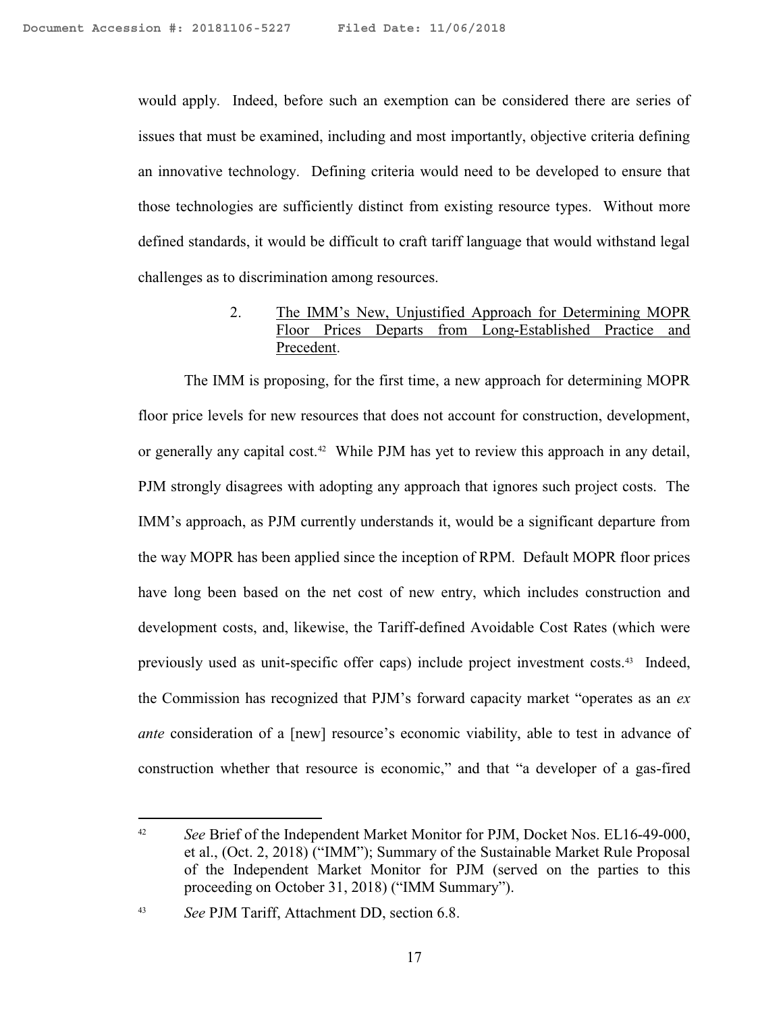would apply. Indeed, before such an exemption can be considered there are series of issues that must be examined, including and most importantly, objective criteria defining an innovative technology. Defining criteria would need to be developed to ensure that those technologies are sufficiently distinct from existing resource types. Without more defined standards, it would be difficult to craft tariff language that would withstand legal challenges as to discrimination among resources.

#### 2. The IMM's New, Unjustified Approach for Determining MOPR Floor Prices Departs from Long-Established Practice and Precedent.

The IMM is proposing, for the first time, a new approach for determining MOPR floor price levels for new resources that does not account for construction, development, or generally any capital cost.<sup>42</sup> While PJM has yet to review this approach in any detail, PJM strongly disagrees with adopting any approach that ignores such project costs. The IMM's approach, as PJM currently understands it, would be a significant departure from the way MOPR has been applied since the inception of RPM. Default MOPR floor prices have long been based on the net cost of new entry, which includes construction and development costs, and, likewise, the Tariff-defined Avoidable Cost Rates (which were previously used as unit-specific offer caps) include project investment costs.<sup>43</sup> Indeed, the Commission has recognized that PJM's forward capacity market "operates as an *ex ante* consideration of a [new] resource's economic viability, able to test in advance of construction whether that resource is economic," and that "a developer of a gas-fired

<sup>&</sup>lt;sup>42</sup> *See* Brief of the Independent Market Monitor for PJM, Docket Nos. EL16-49-000, et al., (Oct. 2, 2018) ("IMM"); Summary of the Sustainable Market Rule Proposal of the Independent Market Monitor for PJM (served on the parties to this proceeding on October 31, 2018) ("IMM Summary").

<sup>43</sup> *See* PJM Tariff, Attachment DD, section 6.8.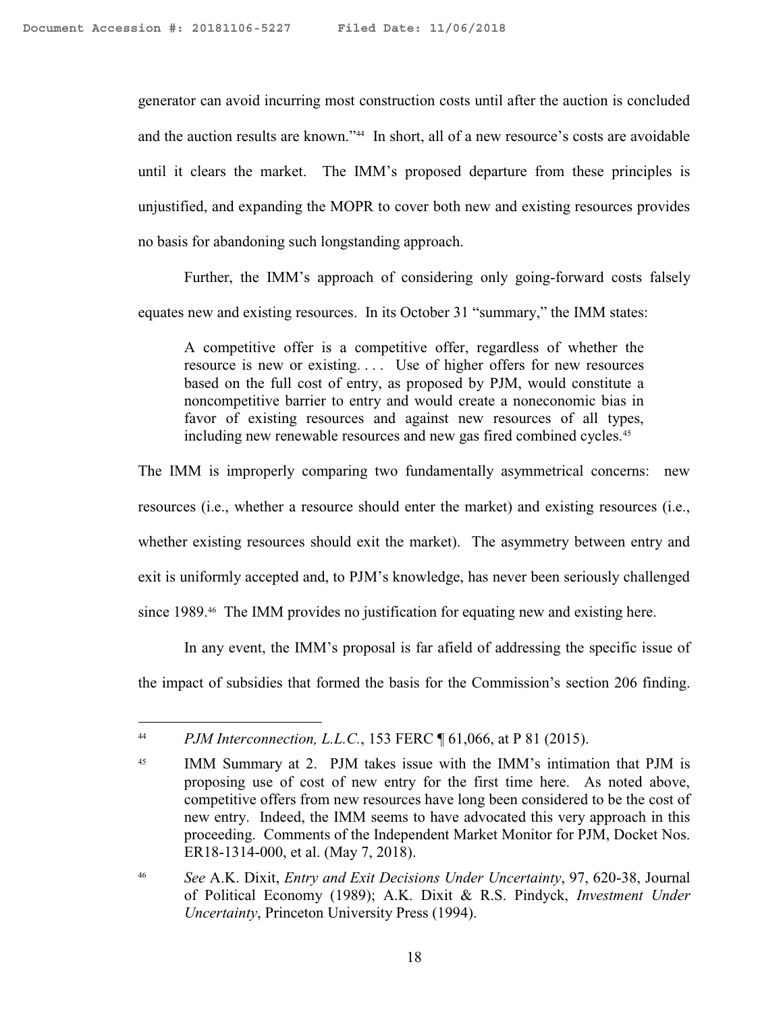generator can avoid incurring most construction costs until after the auction is concluded and the auction results are known."<sup>44</sup> In short, all of a new resource's costs are avoidable until it clears the market. The IMM's proposed departure from these principles is unjustified, and expanding the MOPR to cover both new and existing resources provides no basis for abandoning such longstanding approach.

Further, the IMM's approach of considering only going-forward costs falsely equates new and existing resources. In its October 31 "summary," the IMM states:

A competitive offer is a competitive offer, regardless of whether the resource is new or existing. . . . Use of higher offers for new resources based on the full cost of entry, as proposed by PJM, would constitute a noncompetitive barrier to entry and would create a noneconomic bias in favor of existing resources and against new resources of all types, including new renewable resources and new gas fired combined cycles.<sup>45</sup>

The IMM is improperly comparing two fundamentally asymmetrical concerns: new resources (i.e., whether a resource should enter the market) and existing resources (i.e., whether existing resources should exit the market). The asymmetry between entry and exit is uniformly accepted and, to PJM's knowledge, has never been seriously challenged since 1989.<sup>46</sup> The IMM provides no justification for equating new and existing here.

In any event, the IMM's proposal is far afield of addressing the specific issue of the impact of subsidies that formed the basis for the Commission's section 206 finding.

<sup>44</sup> *PJM Interconnection, L.L.C.*, 153 FERC ¶ 61,066, at P 81 (2015).

<sup>&</sup>lt;sup>45</sup> IMM Summary at 2. PJM takes issue with the IMM's intimation that PJM is proposing use of cost of new entry for the first time here. As noted above, competitive offers from new resources have long been considered to be the cost of new entry. Indeed, the IMM seems to have advocated this very approach in this proceeding. Comments of the Independent Market Monitor for PJM, Docket Nos. ER18-1314-000, et al. (May 7, 2018).

<sup>46</sup> *See* A.K. Dixit, *Entry and Exit Decisions Under Uncertainty*, 97, 620-38, Journal of Political Economy (1989); A.K. Dixit & R.S. Pindyck, *Investment Under Uncertainty*, Princeton University Press (1994).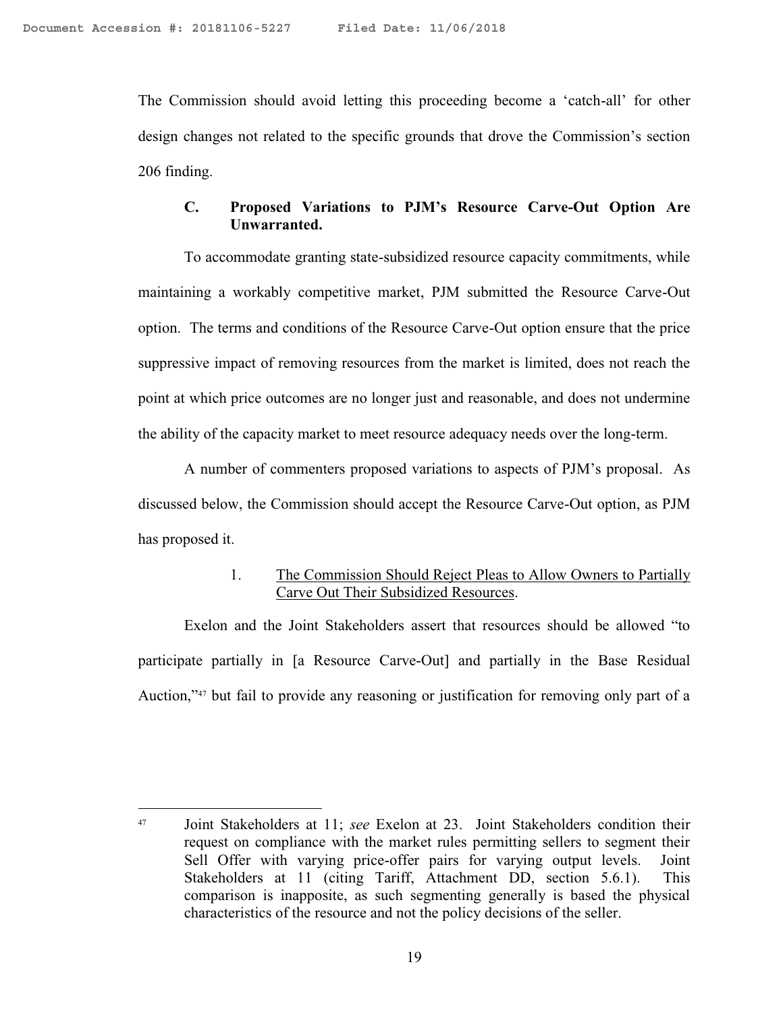$\overline{a}$ 

The Commission should avoid letting this proceeding become a 'catch-all' for other design changes not related to the specific grounds that drove the Commission's section 206 finding.

#### **C. Proposed Variations to PJM's Resource Carve-Out Option Are Unwarranted.**

To accommodate granting state-subsidized resource capacity commitments, while maintaining a workably competitive market, PJM submitted the Resource Carve-Out option. The terms and conditions of the Resource Carve-Out option ensure that the price suppressive impact of removing resources from the market is limited, does not reach the point at which price outcomes are no longer just and reasonable, and does not undermine the ability of the capacity market to meet resource adequacy needs over the long-term.

A number of commenters proposed variations to aspects of PJM's proposal. As discussed below, the Commission should accept the Resource Carve-Out option, as PJM has proposed it.

#### 1. The Commission Should Reject Pleas to Allow Owners to Partially Carve Out Their Subsidized Resources.

Exelon and the Joint Stakeholders assert that resources should be allowed "to participate partially in [a Resource Carve-Out] and partially in the Base Residual Auction,"<sup>47</sup> but fail to provide any reasoning or justification for removing only part of a

<sup>47</sup> Joint Stakeholders at 11; *see* Exelon at 23. Joint Stakeholders condition their request on compliance with the market rules permitting sellers to segment their Sell Offer with varying price-offer pairs for varying output levels. Joint Stakeholders at 11 (citing Tariff, Attachment DD, section 5.6.1). This comparison is inapposite, as such segmenting generally is based the physical characteristics of the resource and not the policy decisions of the seller.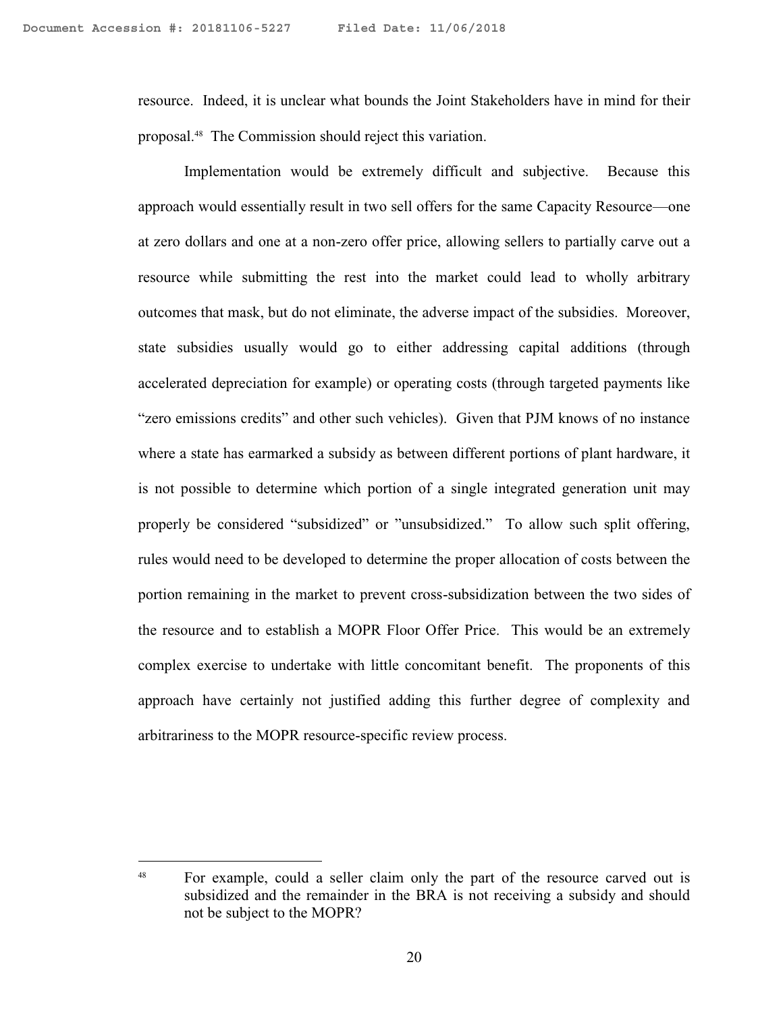resource. Indeed, it is unclear what bounds the Joint Stakeholders have in mind for their proposal.<sup>48</sup> The Commission should reject this variation.

Implementation would be extremely difficult and subjective. Because this approach would essentially result in two sell offers for the same Capacity Resource—one at zero dollars and one at a non-zero offer price, allowing sellers to partially carve out a resource while submitting the rest into the market could lead to wholly arbitrary outcomes that mask, but do not eliminate, the adverse impact of the subsidies. Moreover, state subsidies usually would go to either addressing capital additions (through accelerated depreciation for example) or operating costs (through targeted payments like "zero emissions credits" and other such vehicles). Given that PJM knows of no instance where a state has earmarked a subsidy as between different portions of plant hardware, it is not possible to determine which portion of a single integrated generation unit may properly be considered "subsidized" or "unsubsidized." To allow such split offering, rules would need to be developed to determine the proper allocation of costs between the portion remaining in the market to prevent cross-subsidization between the two sides of the resource and to establish a MOPR Floor Offer Price. This would be an extremely complex exercise to undertake with little concomitant benefit. The proponents of this approach have certainly not justified adding this further degree of complexity and arbitrariness to the MOPR resource-specific review process.

<sup>&</sup>lt;sup>48</sup> For example, could a seller claim only the part of the resource carved out is subsidized and the remainder in the BRA is not receiving a subsidy and should not be subject to the MOPR?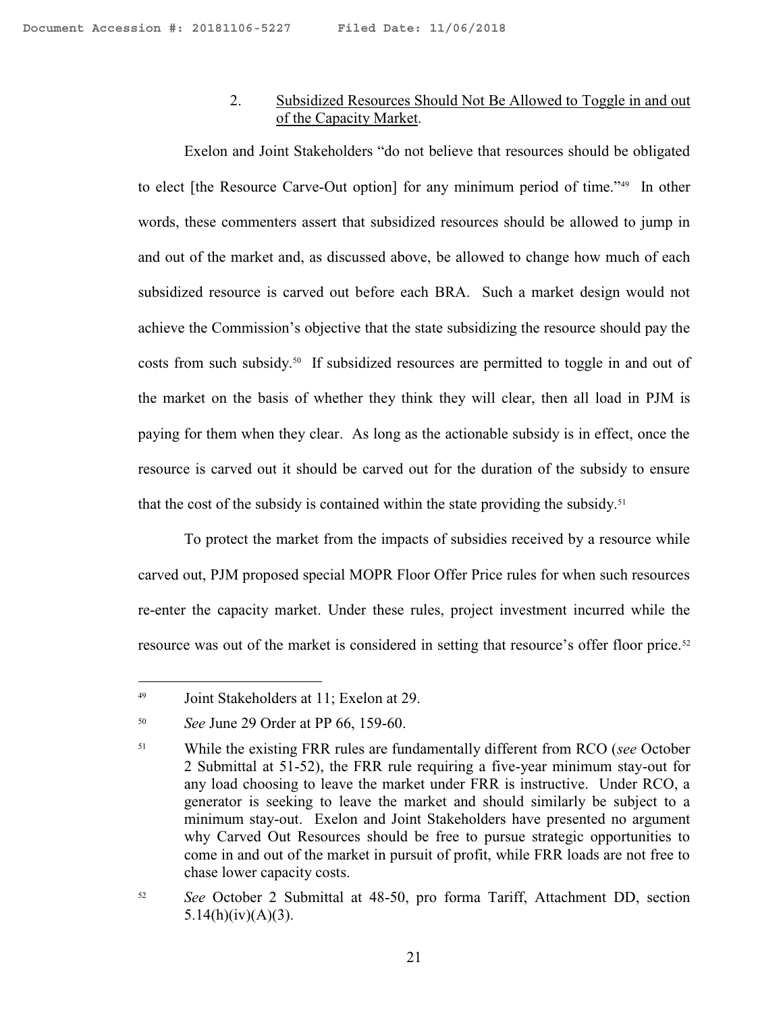# 2. Subsidized Resources Should Not Be Allowed to Toggle in and out of the Capacity Market.

Exelon and Joint Stakeholders "do not believe that resources should be obligated to elect [the Resource Carve-Out option] for any minimum period of time."<sup>49</sup> In other words, these commenters assert that subsidized resources should be allowed to jump in and out of the market and, as discussed above, be allowed to change how much of each subsidized resource is carved out before each BRA. Such a market design would not achieve the Commission's objective that the state subsidizing the resource should pay the costs from such subsidy.<sup>50</sup> If subsidized resources are permitted to toggle in and out of the market on the basis of whether they think they will clear, then all load in PJM is paying for them when they clear. As long as the actionable subsidy is in effect, once the resource is carved out it should be carved out for the duration of the subsidy to ensure that the cost of the subsidy is contained within the state providing the subsidy.<sup>51</sup>

To protect the market from the impacts of subsidies received by a resource while carved out, PJM proposed special MOPR Floor Offer Price rules for when such resources re-enter the capacity market. Under these rules, project investment incurred while the resource was out of the market is considered in setting that resource's offer floor price.<sup>52</sup>

 $\overline{a}$ 

<sup>52</sup> *See* October 2 Submittal at 48-50, pro forma Tariff, Attachment DD, section 5.14(h)(iv)(A)(3).

<sup>49</sup> Joint Stakeholders at 11; Exelon at 29.

<sup>50</sup> *See* June 29 Order at PP 66, 159-60.

<sup>51</sup> While the existing FRR rules are fundamentally different from RCO (*see* October 2 Submittal at 51-52), the FRR rule requiring a five-year minimum stay-out for any load choosing to leave the market under FRR is instructive. Under RCO, a generator is seeking to leave the market and should similarly be subject to a minimum stay-out. Exelon and Joint Stakeholders have presented no argument why Carved Out Resources should be free to pursue strategic opportunities to come in and out of the market in pursuit of profit, while FRR loads are not free to chase lower capacity costs.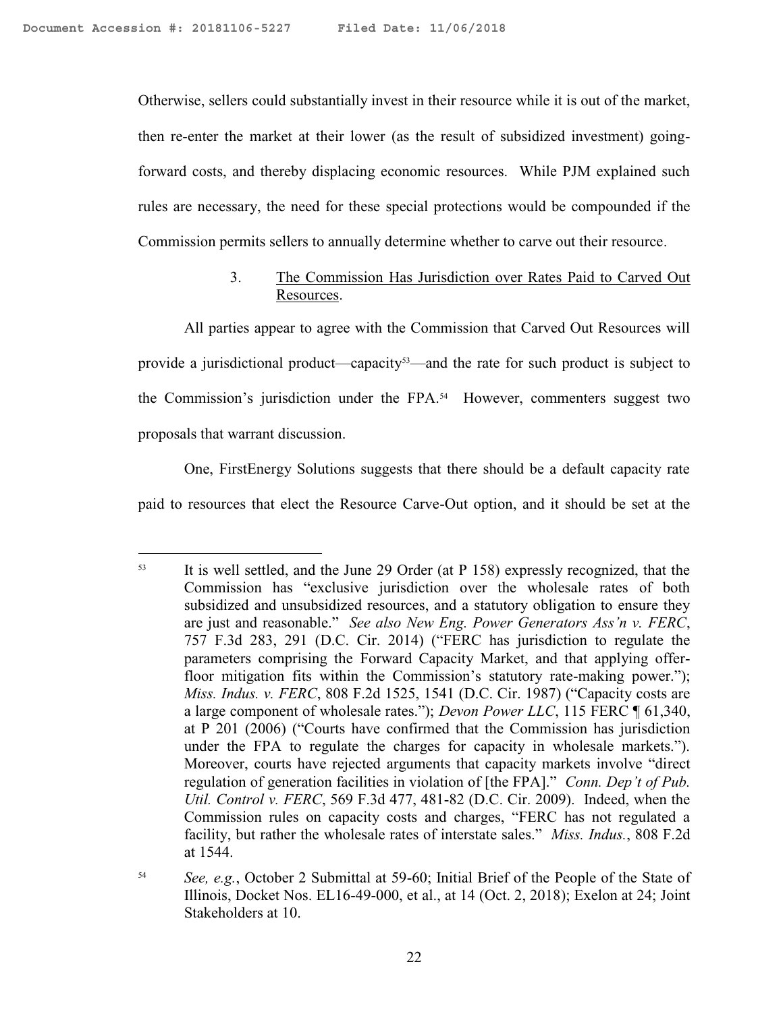Otherwise, sellers could substantially invest in their resource while it is out of the market, then re-enter the market at their lower (as the result of subsidized investment) goingforward costs, and thereby displacing economic resources. While PJM explained such rules are necessary, the need for these special protections would be compounded if the Commission permits sellers to annually determine whether to carve out their resource.

# 3. The Commission Has Jurisdiction over Rates Paid to Carved Out Resources.

All parties appear to agree with the Commission that Carved Out Resources will provide a jurisdictional product—capacity<sup>53</sup>—and the rate for such product is subject to the Commission's jurisdiction under the FPA. 54 However, commenters suggest two proposals that warrant discussion.

One, FirstEnergy Solutions suggests that there should be a default capacity rate paid to resources that elect the Resource Carve-Out option, and it should be set at the

 $\overline{a}$ <sup>53</sup> It is well settled, and the June 29 Order (at P 158) expressly recognized, that the Commission has "exclusive jurisdiction over the wholesale rates of both subsidized and unsubsidized resources, and a statutory obligation to ensure they are just and reasonable." *See also New Eng. Power Generators Ass'n v. FERC*, 757 F.3d 283, 291 (D.C. Cir. 2014) ("FERC has jurisdiction to regulate the parameters comprising the Forward Capacity Market, and that applying offerfloor mitigation fits within the Commission's statutory rate-making power."); *Miss. Indus. v. FERC*, 808 F.2d 1525, 1541 (D.C. Cir. 1987) ("Capacity costs are a large component of wholesale rates."); *Devon Power LLC*, 115 FERC ¶ 61,340, at P 201 (2006) ("Courts have confirmed that the Commission has jurisdiction under the FPA to regulate the charges for capacity in wholesale markets."). Moreover, courts have rejected arguments that capacity markets involve "direct regulation of generation facilities in violation of [the FPA]." *Conn. Dep't of Pub. Util. Control v. FERC*, 569 F.3d 477, 481-82 (D.C. Cir. 2009). Indeed, when the Commission rules on capacity costs and charges, "FERC has not regulated a facility, but rather the wholesale rates of interstate sales." *Miss. Indus.*, 808 F.2d at 1544.

<sup>54</sup> *See, e.g.*, October 2 Submittal at 59-60; Initial Brief of the People of the State of Illinois, Docket Nos. EL16-49-000, et al., at 14 (Oct. 2, 2018); Exelon at 24; Joint Stakeholders at 10.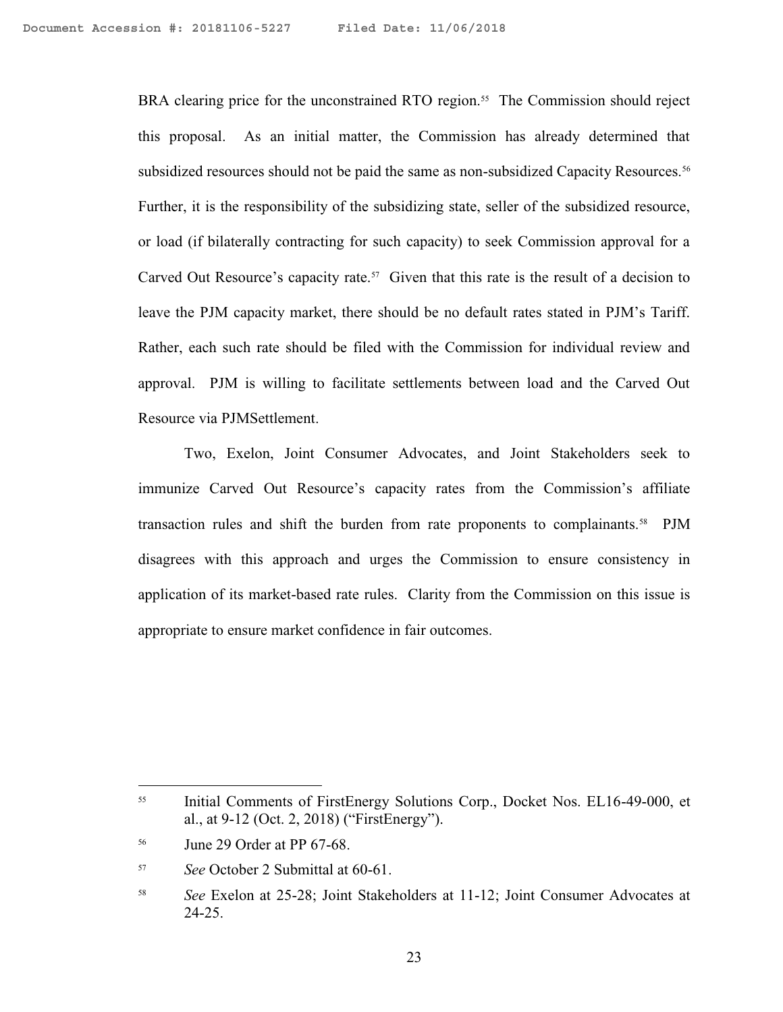BRA clearing price for the unconstrained RTO region.<sup>55</sup> The Commission should reject this proposal. As an initial matter, the Commission has already determined that subsidized resources should not be paid the same as non-subsidized Capacity Resources.<sup>56</sup> Further, it is the responsibility of the subsidizing state, seller of the subsidized resource, or load (if bilaterally contracting for such capacity) to seek Commission approval for a Carved Out Resource's capacity rate.<sup>57</sup> Given that this rate is the result of a decision to leave the PJM capacity market, there should be no default rates stated in PJM's Tariff. Rather, each such rate should be filed with the Commission for individual review and approval. PJM is willing to facilitate settlements between load and the Carved Out Resource via PJMSettlement.

Two, Exelon, Joint Consumer Advocates, and Joint Stakeholders seek to immunize Carved Out Resource's capacity rates from the Commission's affiliate transaction rules and shift the burden from rate proponents to complainants.<sup>58</sup> PJM disagrees with this approach and urges the Commission to ensure consistency in application of its market-based rate rules. Clarity from the Commission on this issue is appropriate to ensure market confidence in fair outcomes.

<sup>55</sup> Initial Comments of FirstEnergy Solutions Corp., Docket Nos. EL16-49-000, et al., at 9-12 (Oct. 2, 2018) ("FirstEnergy").

<sup>56</sup> June 29 Order at PP 67-68.

<sup>57</sup> *See* October 2 Submittal at 60-61.

<sup>58</sup> *See* Exelon at 25-28; Joint Stakeholders at 11-12; Joint Consumer Advocates at 24-25.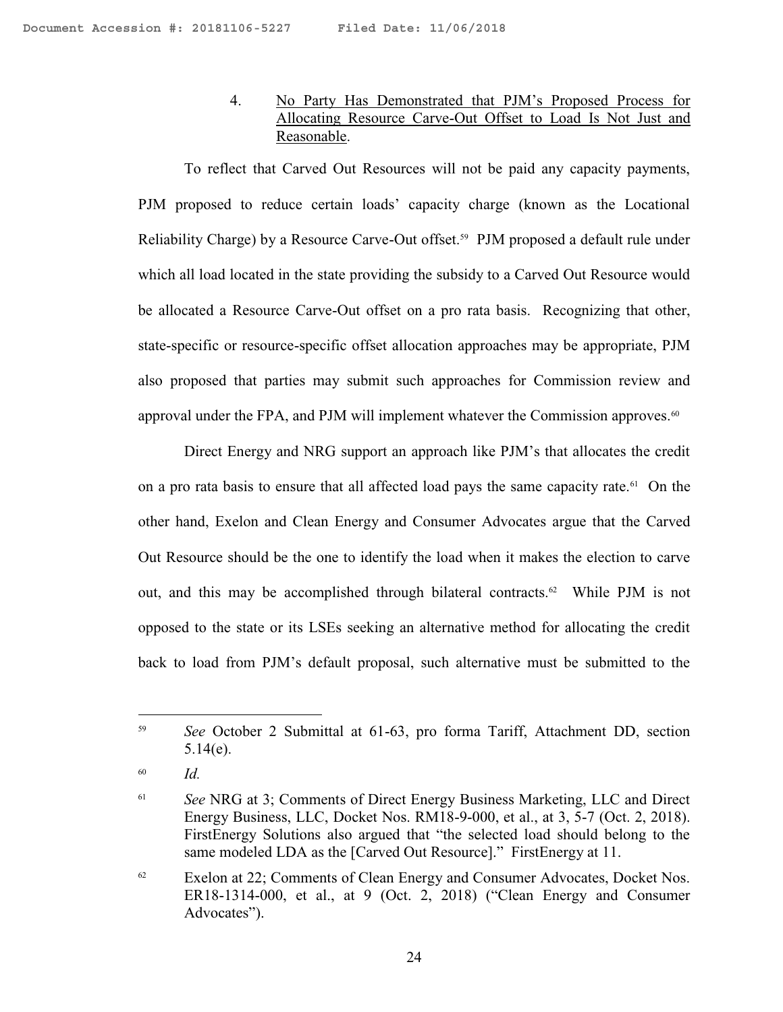# 4. No Party Has Demonstrated that PJM's Proposed Process for Allocating Resource Carve-Out Offset to Load Is Not Just and Reasonable.

To reflect that Carved Out Resources will not be paid any capacity payments, PJM proposed to reduce certain loads' capacity charge (known as the Locational Reliability Charge) by a Resource Carve-Out offset.<sup>59</sup> PJM proposed a default rule under which all load located in the state providing the subsidy to a Carved Out Resource would be allocated a Resource Carve-Out offset on a pro rata basis. Recognizing that other, state-specific or resource-specific offset allocation approaches may be appropriate, PJM also proposed that parties may submit such approaches for Commission review and approval under the FPA, and PJM will implement whatever the Commission approves.<sup>60</sup>

Direct Energy and NRG support an approach like PJM's that allocates the credit on a pro rata basis to ensure that all affected load pays the same capacity rate.<sup>61</sup> On the other hand, Exelon and Clean Energy and Consumer Advocates argue that the Carved Out Resource should be the one to identify the load when it makes the election to carve out, and this may be accomplished through bilateral contracts.<sup>62</sup> While PJM is not opposed to the state or its LSEs seeking an alternative method for allocating the credit back to load from PJM's default proposal, such alternative must be submitted to the

<sup>59</sup> *See* October 2 Submittal at 61-63, pro forma Tariff, Attachment DD, section 5.14(e).

<sup>60</sup> *Id.*

<sup>61</sup> *See* NRG at 3; Comments of Direct Energy Business Marketing, LLC and Direct Energy Business, LLC, Docket Nos. RM18-9-000, et al., at 3, 5-7 (Oct. 2, 2018). FirstEnergy Solutions also argued that "the selected load should belong to the same modeled LDA as the [Carved Out Resource]." FirstEnergy at 11.

<sup>&</sup>lt;sup>62</sup> Exelon at 22; Comments of Clean Energy and Consumer Advocates, Docket Nos. ER18-1314-000, et al., at 9 (Oct. 2, 2018) ("Clean Energy and Consumer Advocates").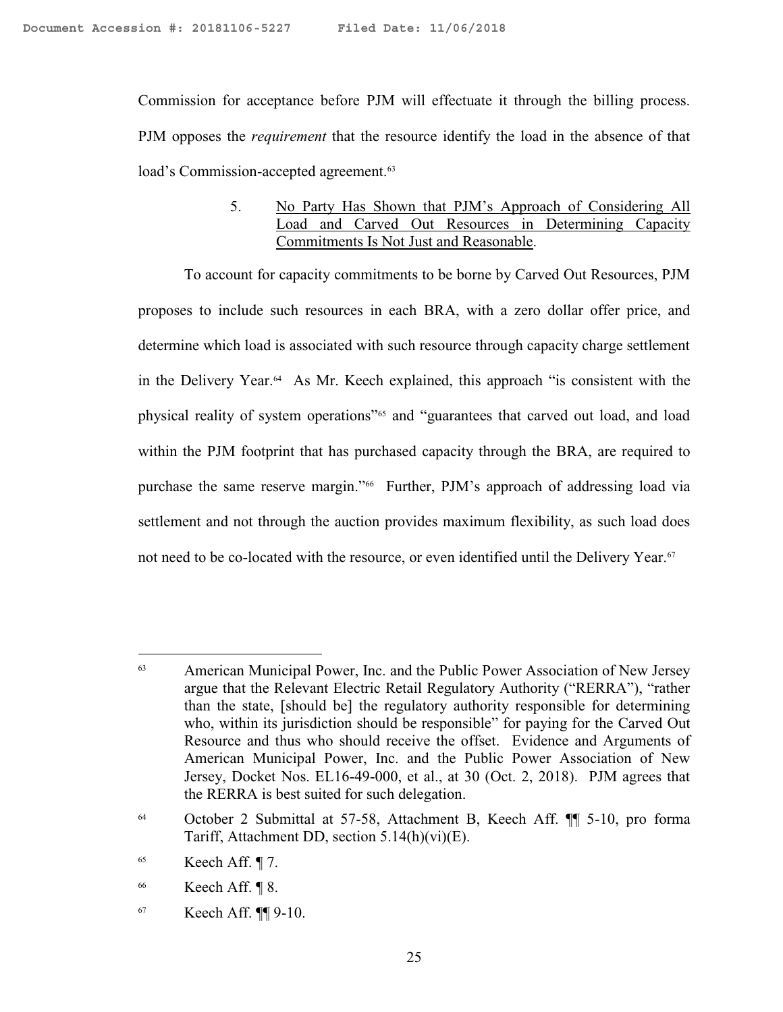Commission for acceptance before PJM will effectuate it through the billing process. PJM opposes the *requirement* that the resource identify the load in the absence of that load's Commission-accepted agreement.<sup>63</sup>

#### 5. No Party Has Shown that PJM's Approach of Considering All Load and Carved Out Resources in Determining Capacity Commitments Is Not Just and Reasonable.

To account for capacity commitments to be borne by Carved Out Resources, PJM proposes to include such resources in each BRA, with a zero dollar offer price, and determine which load is associated with such resource through capacity charge settlement in the Delivery Year.<sup>64</sup> As Mr. Keech explained, this approach "is consistent with the physical reality of system operations"<sup>65</sup> and "guarantees that carved out load, and load within the PJM footprint that has purchased capacity through the BRA, are required to purchase the same reserve margin."<sup>66</sup> Further, PJM's approach of addressing load via settlement and not through the auction provides maximum flexibility, as such load does not need to be co-located with the resource, or even identified until the Delivery Year.<sup>67</sup>

<sup>63</sup> American Municipal Power, Inc. and the Public Power Association of New Jersey argue that the Relevant Electric Retail Regulatory Authority ("RERRA"), "rather than the state, [should be] the regulatory authority responsible for determining who, within its jurisdiction should be responsible" for paying for the Carved Out Resource and thus who should receive the offset. Evidence and Arguments of American Municipal Power, Inc. and the Public Power Association of New Jersey, Docket Nos. EL16-49-000, et al., at 30 (Oct. 2, 2018). PJM agrees that the RERRA is best suited for such delegation.

<sup>64</sup> October 2 Submittal at 57-58, Attachment B, Keech Aff. ¶¶ 5-10, pro forma Tariff, Attachment DD, section 5.14(h)(vi)(E).

 $65$  Keech Aff. ¶ 7.

 $66$  Keech Aff.  $\P$  8.

<sup>67</sup> Keech Aff. ¶¶ 9-10.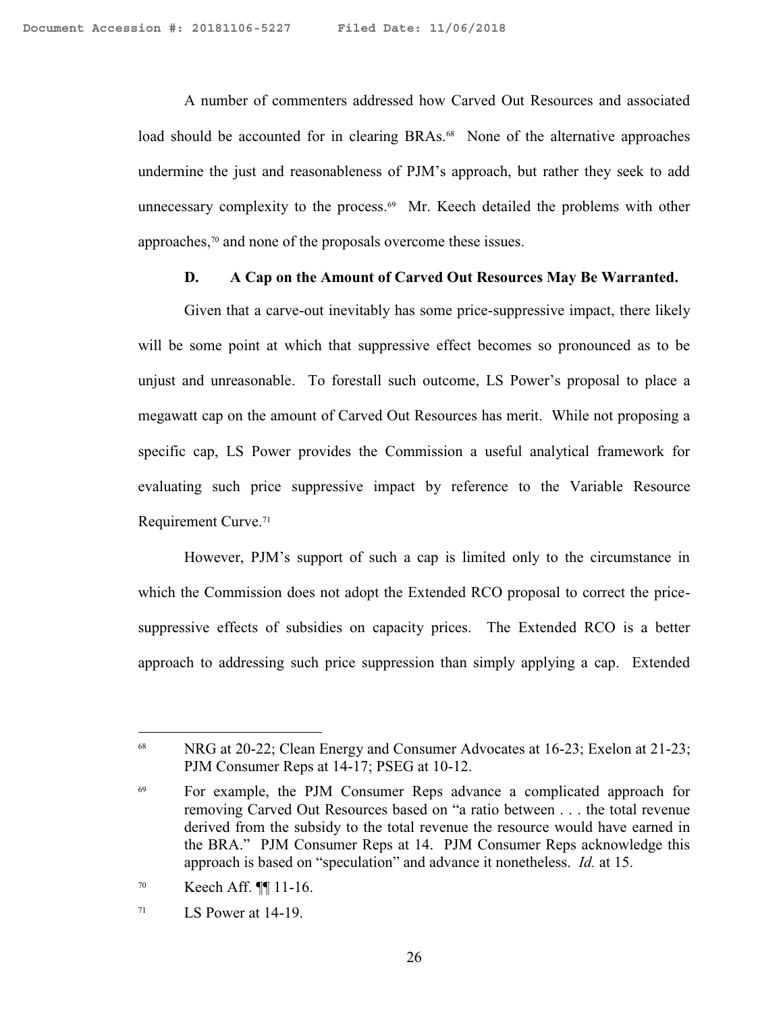A number of commenters addressed how Carved Out Resources and associated load should be accounted for in clearing BRAs.<sup>68</sup> None of the alternative approaches undermine the just and reasonableness of PJM's approach, but rather they seek to add unnecessary complexity to the process.<sup>69</sup> Mr. Keech detailed the problems with other approaches,<sup>70</sup> and none of the proposals overcome these issues.

#### **D. A Cap on the Amount of Carved Out Resources May Be Warranted.**

Given that a carve-out inevitably has some price-suppressive impact, there likely will be some point at which that suppressive effect becomes so pronounced as to be unjust and unreasonable. To forestall such outcome, LS Power's proposal to place a megawatt cap on the amount of Carved Out Resources has merit. While not proposing a specific cap, LS Power provides the Commission a useful analytical framework for evaluating such price suppressive impact by reference to the Variable Resource Requirement Curve.<sup>71</sup>

However, PJM's support of such a cap is limited only to the circumstance in which the Commission does not adopt the Extended RCO proposal to correct the pricesuppressive effects of subsidies on capacity prices. The Extended RCO is a better approach to addressing such price suppression than simply applying a cap. Extended

<sup>&</sup>lt;sup>68</sup> NRG at 20-22; Clean Energy and Consumer Advocates at 16-23; Exelon at 21-23; PJM Consumer Reps at 14-17; PSEG at 10-12.

<sup>69</sup> For example, the PJM Consumer Reps advance a complicated approach for removing Carved Out Resources based on "a ratio between . . . the total revenue derived from the subsidy to the total revenue the resource would have earned in the BRA." PJM Consumer Reps at 14. PJM Consumer Reps acknowledge this approach is based on "speculation" and advance it nonetheless. *Id.* at 15.

<sup>70</sup> Keech Aff. ¶¶ 11-16.

 $71$  LS Power at 14-19.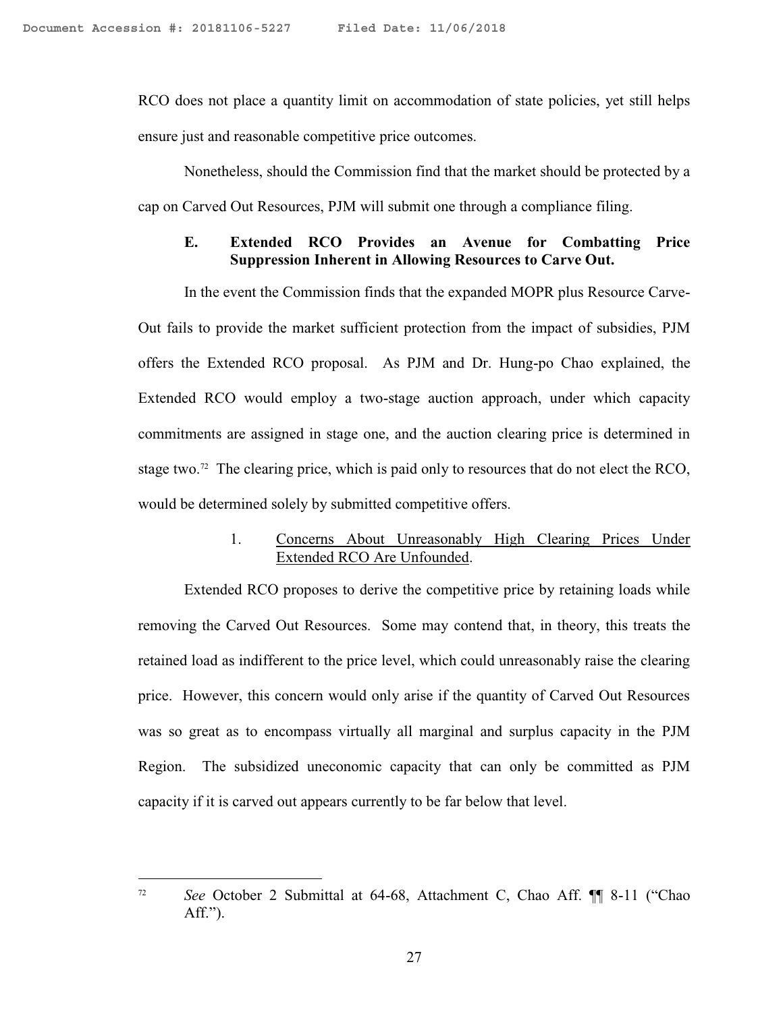RCO does not place a quantity limit on accommodation of state policies, yet still helps ensure just and reasonable competitive price outcomes.

Nonetheless, should the Commission find that the market should be protected by a cap on Carved Out Resources, PJM will submit one through a compliance filing.

#### **E. Extended RCO Provides an Avenue for Combatting Price Suppression Inherent in Allowing Resources to Carve Out.**

In the event the Commission finds that the expanded MOPR plus Resource Carve-Out fails to provide the market sufficient protection from the impact of subsidies, PJM offers the Extended RCO proposal. As PJM and Dr. Hung-po Chao explained, the Extended RCO would employ a two-stage auction approach, under which capacity commitments are assigned in stage one, and the auction clearing price is determined in stage two.<sup>72</sup> The clearing price, which is paid only to resources that do not elect the RCO, would be determined solely by submitted competitive offers.

#### 1. Concerns About Unreasonably High Clearing Prices Under Extended RCO Are Unfounded.

Extended RCO proposes to derive the competitive price by retaining loads while removing the Carved Out Resources. Some may contend that, in theory, this treats the retained load as indifferent to the price level, which could unreasonably raise the clearing price. However, this concern would only arise if the quantity of Carved Out Resources was so great as to encompass virtually all marginal and surplus capacity in the PJM Region. The subsidized uneconomic capacity that can only be committed as PJM capacity if it is carved out appears currently to be far below that level.

<sup>72</sup> *See* October 2 Submittal at 64-68, Attachment C, Chao Aff. ¶¶ 8-11 ("Chao Aff.").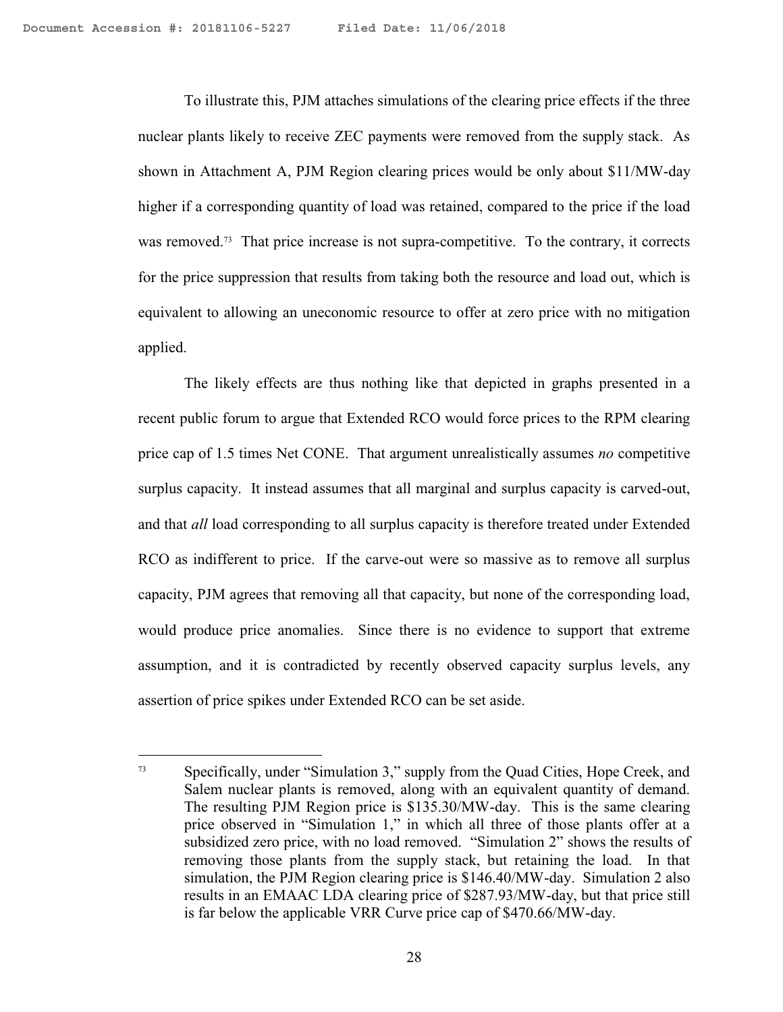$\overline{a}$ 

To illustrate this, PJM attaches simulations of the clearing price effects if the three nuclear plants likely to receive ZEC payments were removed from the supply stack. As shown in Attachment A, PJM Region clearing prices would be only about \$11/MW-day higher if a corresponding quantity of load was retained, compared to the price if the load was removed.<sup>73</sup> That price increase is not supra-competitive. To the contrary, it corrects for the price suppression that results from taking both the resource and load out, which is equivalent to allowing an uneconomic resource to offer at zero price with no mitigation applied.

The likely effects are thus nothing like that depicted in graphs presented in a recent public forum to argue that Extended RCO would force prices to the RPM clearing price cap of 1.5 times Net CONE. That argument unrealistically assumes *no* competitive surplus capacity. It instead assumes that all marginal and surplus capacity is carved-out, and that *all* load corresponding to all surplus capacity is therefore treated under Extended RCO as indifferent to price. If the carve-out were so massive as to remove all surplus capacity, PJM agrees that removing all that capacity, but none of the corresponding load, would produce price anomalies. Since there is no evidence to support that extreme assumption, and it is contradicted by recently observed capacity surplus levels, any assertion of price spikes under Extended RCO can be set aside.

<sup>73</sup> Specifically, under "Simulation 3," supply from the Quad Cities, Hope Creek, and Salem nuclear plants is removed, along with an equivalent quantity of demand. The resulting PJM Region price is \$135.30/MW-day. This is the same clearing price observed in "Simulation 1," in which all three of those plants offer at a subsidized zero price, with no load removed. "Simulation 2" shows the results of removing those plants from the supply stack, but retaining the load. In that simulation, the PJM Region clearing price is \$146.40/MW-day. Simulation 2 also results in an EMAAC LDA clearing price of \$287.93/MW-day, but that price still is far below the applicable VRR Curve price cap of \$470.66/MW-day.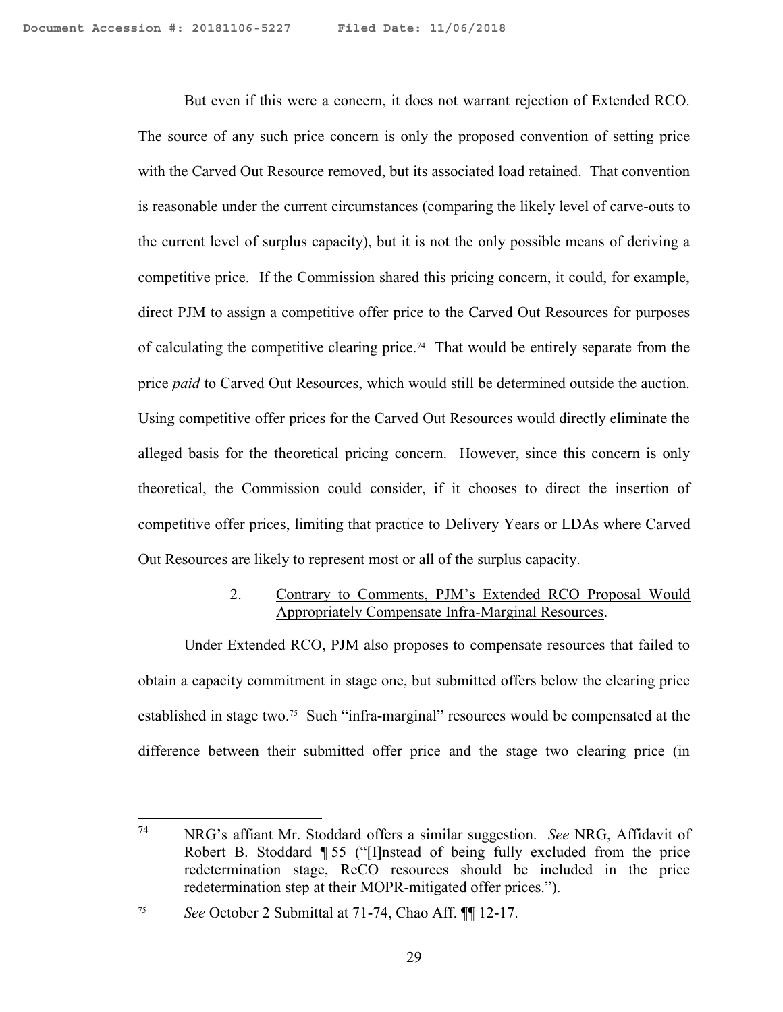But even if this were a concern, it does not warrant rejection of Extended RCO. The source of any such price concern is only the proposed convention of setting price with the Carved Out Resource removed, but its associated load retained. That convention is reasonable under the current circumstances (comparing the likely level of carve-outs to the current level of surplus capacity), but it is not the only possible means of deriving a competitive price. If the Commission shared this pricing concern, it could, for example, direct PJM to assign a competitive offer price to the Carved Out Resources for purposes of calculating the competitive clearing price.<sup>74</sup> That would be entirely separate from the price *paid* to Carved Out Resources, which would still be determined outside the auction. Using competitive offer prices for the Carved Out Resources would directly eliminate the alleged basis for the theoretical pricing concern. However, since this concern is only theoretical, the Commission could consider, if it chooses to direct the insertion of competitive offer prices, limiting that practice to Delivery Years or LDAs where Carved Out Resources are likely to represent most or all of the surplus capacity.

#### 2. Contrary to Comments, PJM's Extended RCO Proposal Would Appropriately Compensate Infra-Marginal Resources.

Under Extended RCO, PJM also proposes to compensate resources that failed to obtain a capacity commitment in stage one, but submitted offers below the clearing price established in stage two.<sup>75</sup> Such "infra-marginal" resources would be compensated at the difference between their submitted offer price and the stage two clearing price (in

<sup>74</sup> <sup>74</sup> NRG's affiant Mr. Stoddard offers a similar suggestion. *See* NRG, Affidavit of Robert B. Stoddard ¶ 55 ("[I]nstead of being fully excluded from the price redetermination stage, ReCO resources should be included in the price redetermination step at their MOPR-mitigated offer prices.").

<sup>75</sup> *See* October 2 Submittal at 71-74, Chao Aff. ¶¶ 12-17.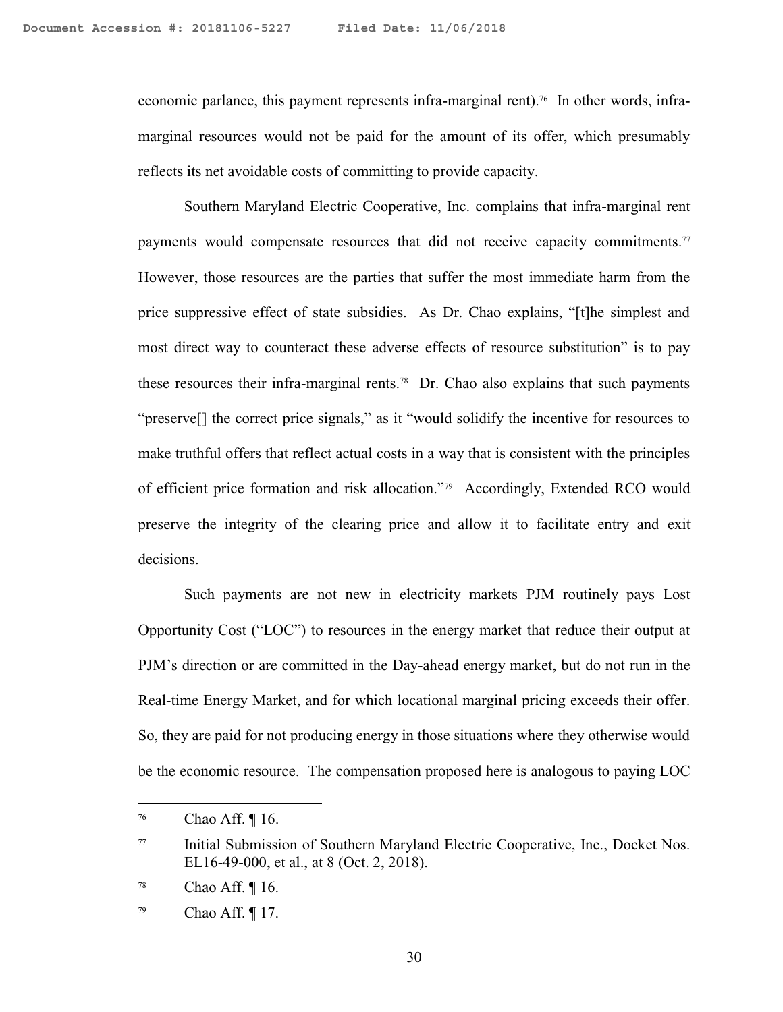economic parlance, this payment represents infra-marginal rent).<sup>76</sup> In other words, inframarginal resources would not be paid for the amount of its offer, which presumably reflects its net avoidable costs of committing to provide capacity.

Southern Maryland Electric Cooperative, Inc. complains that infra-marginal rent payments would compensate resources that did not receive capacity commitments.<sup>77</sup> However, those resources are the parties that suffer the most immediate harm from the price suppressive effect of state subsidies. As Dr. Chao explains, "[t]he simplest and most direct way to counteract these adverse effects of resource substitution" is to pay these resources their infra-marginal rents.<sup>78</sup> Dr. Chao also explains that such payments "preserve[] the correct price signals," as it "would solidify the incentive for resources to make truthful offers that reflect actual costs in a way that is consistent with the principles of efficient price formation and risk allocation."<sup>79</sup> Accordingly, Extended RCO would preserve the integrity of the clearing price and allow it to facilitate entry and exit decisions.

Such payments are not new in electricity markets PJM routinely pays Lost Opportunity Cost ("LOC") to resources in the energy market that reduce their output at PJM's direction or are committed in the Day-ahead energy market, but do not run in the Real-time Energy Market, and for which locational marginal pricing exceeds their offer. So, they are paid for not producing energy in those situations where they otherwise would be the economic resource. The compensation proposed here is analogous to paying LOC

<sup>76</sup> Chao Aff. ¶ 16.

<sup>77</sup> Initial Submission of Southern Maryland Electric Cooperative, Inc., Docket Nos. EL16-49-000, et al., at 8 (Oct. 2, 2018).

 $78$  Chao Aff.  $\P$  16.

<sup>&</sup>lt;sup>79</sup> Chao Aff.  $\P$  17.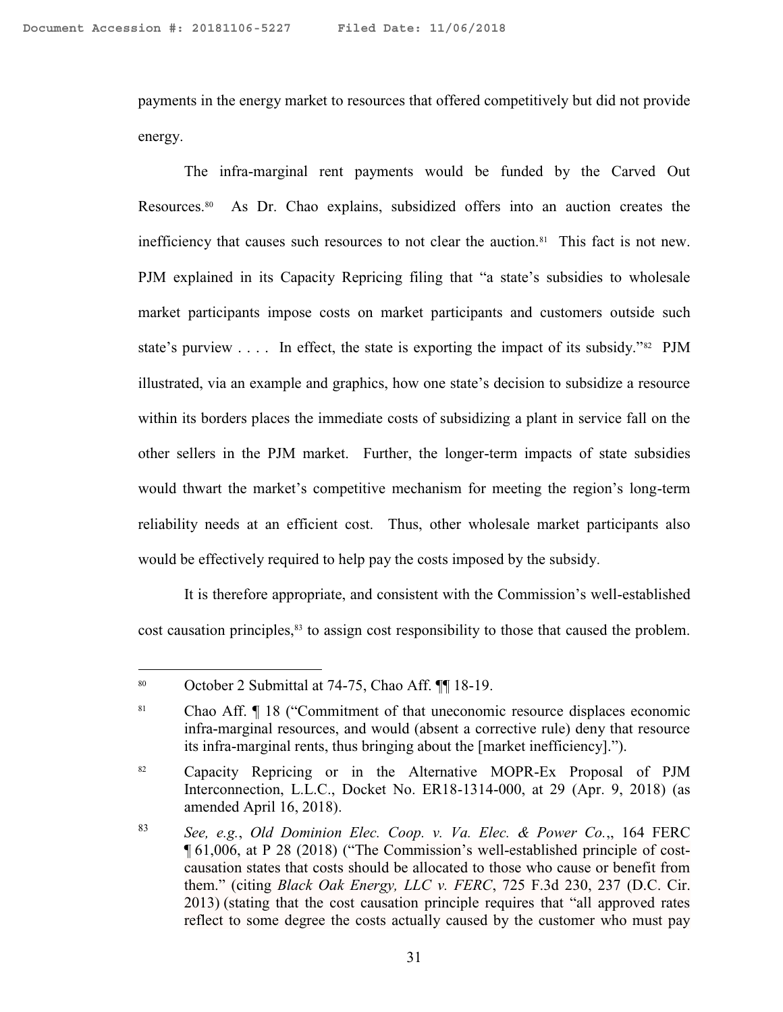payments in the energy market to resources that offered competitively but did not provide energy.

The infra-marginal rent payments would be funded by the Carved Out Resources.<sup>80</sup> As Dr. Chao explains, subsidized offers into an auction creates the inefficiency that causes such resources to not clear the auction.<sup>81</sup> This fact is not new. PJM explained in its Capacity Repricing filing that "a state's subsidies to wholesale market participants impose costs on market participants and customers outside such state's purview  $\ldots$  In effect, the state is exporting the impact of its subsidy."<sup>82</sup> PJM illustrated, via an example and graphics, how one state's decision to subsidize a resource within its borders places the immediate costs of subsidizing a plant in service fall on the other sellers in the PJM market. Further, the longer-term impacts of state subsidies would thwart the market's competitive mechanism for meeting the region's long-term reliability needs at an efficient cost. Thus, other wholesale market participants also would be effectively required to help pay the costs imposed by the subsidy.

It is therefore appropriate, and consistent with the Commission's well-established cost causation principles,<sup>83</sup> to assign cost responsibility to those that caused the problem.

<sup>80</sup> October 2 Submittal at 74-75, Chao Aff. ¶¶ 18-19.

<sup>81</sup> Chao Aff. ¶ 18 ("Commitment of that uneconomic resource displaces economic infra-marginal resources, and would (absent a corrective rule) deny that resource its infra-marginal rents, thus bringing about the [market inefficiency].").

<sup>&</sup>lt;sup>82</sup> Capacity Repricing or in the Alternative MOPR-Ex Proposal of PJM Interconnection, L.L.C., Docket No. ER18-1314-000, at 29 (Apr. 9, 2018) (as amended April 16, 2018).

<sup>83</sup> *See, e.g.*, *Old Dominion Elec. Coop. v. Va. Elec. & Power Co.*,, 164 FERC ¶ 61,006, at P 28 (2018) ("The Commission's well-established principle of costcausation states that costs should be allocated to those who cause or benefit from them." (citing *Black Oak Energy, LLC v. FERC*, 725 F.3d 230, 237 (D.C. Cir. 2013) (stating that the cost causation principle requires that "all approved rates reflect to some degree the costs actually caused by the customer who must pay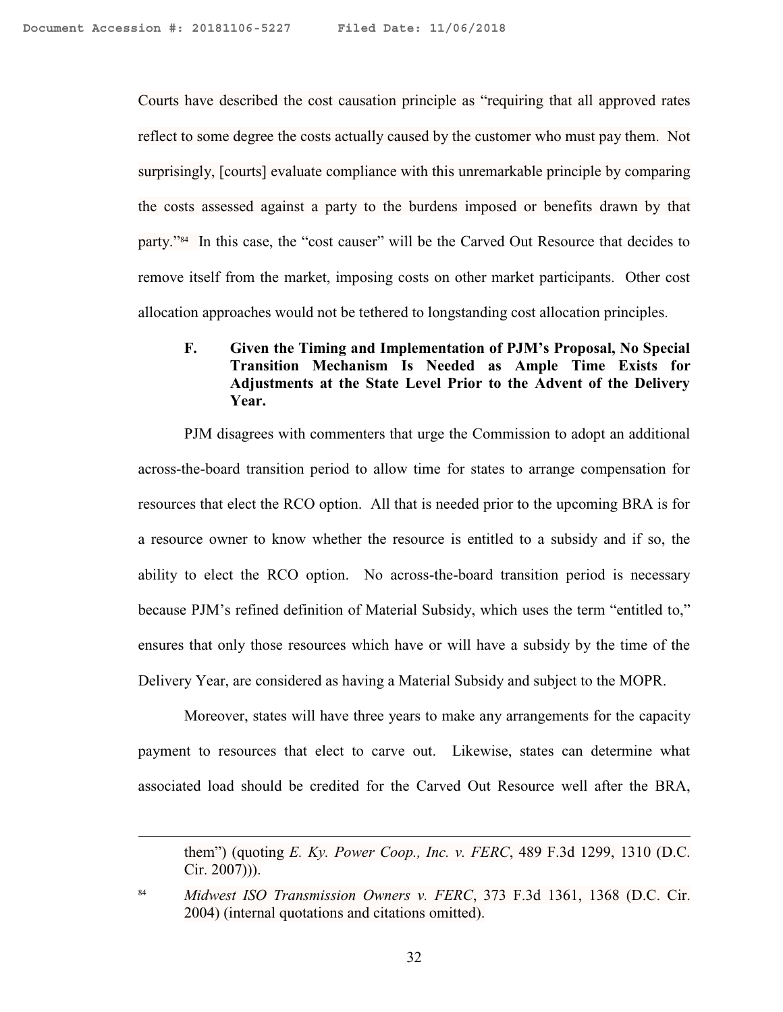Courts have described the cost causation principle as "requiring that all approved rates reflect to some degree the costs actually caused by the customer who must pay them. Not surprisingly, [courts] evaluate compliance with this unremarkable principle by comparing the costs assessed against a party to the burdens imposed or benefits drawn by that party."<sup>84</sup> In this case, the "cost causer" will be the Carved Out Resource that decides to remove itself from the market, imposing costs on other market participants. Other cost allocation approaches would not be tethered to longstanding cost allocation principles.

#### **F. Given the Timing and Implementation of PJM's Proposal, No Special Transition Mechanism Is Needed as Ample Time Exists for Adjustments at the State Level Prior to the Advent of the Delivery Year.**

PJM disagrees with commenters that urge the Commission to adopt an additional across-the-board transition period to allow time for states to arrange compensation for resources that elect the RCO option. All that is needed prior to the upcoming BRA is for a resource owner to know whether the resource is entitled to a subsidy and if so, the ability to elect the RCO option. No across-the-board transition period is necessary because PJM's refined definition of Material Subsidy, which uses the term "entitled to," ensures that only those resources which have or will have a subsidy by the time of the Delivery Year, are considered as having a Material Subsidy and subject to the MOPR.

Moreover, states will have three years to make any arrangements for the capacity payment to resources that elect to carve out. Likewise, states can determine what associated load should be credited for the Carved Out Resource well after the BRA,

them") (quoting *E. Ky. Power Coop., Inc. v. FERC*, 489 F.3d 1299, 1310 (D.C. Cir. 2007))).

 $\overline{a}$ 

<sup>84</sup> *Midwest ISO Transmission Owners v. FERC*, 373 F.3d 1361, 1368 (D.C. Cir. 2004) (internal quotations and citations omitted).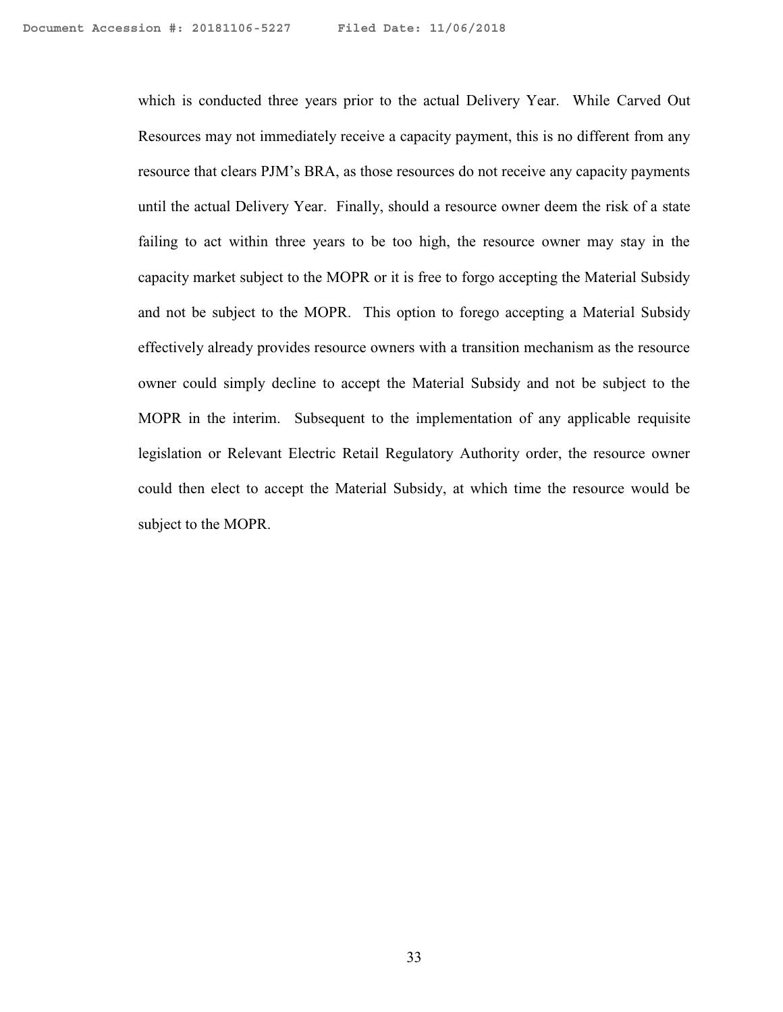which is conducted three years prior to the actual Delivery Year. While Carved Out Resources may not immediately receive a capacity payment, this is no different from any resource that clears PJM's BRA, as those resources do not receive any capacity payments until the actual Delivery Year. Finally, should a resource owner deem the risk of a state failing to act within three years to be too high, the resource owner may stay in the capacity market subject to the MOPR or it is free to forgo accepting the Material Subsidy and not be subject to the MOPR. This option to forego accepting a Material Subsidy effectively already provides resource owners with a transition mechanism as the resource owner could simply decline to accept the Material Subsidy and not be subject to the MOPR in the interim. Subsequent to the implementation of any applicable requisite legislation or Relevant Electric Retail Regulatory Authority order, the resource owner could then elect to accept the Material Subsidy, at which time the resource would be subject to the MOPR.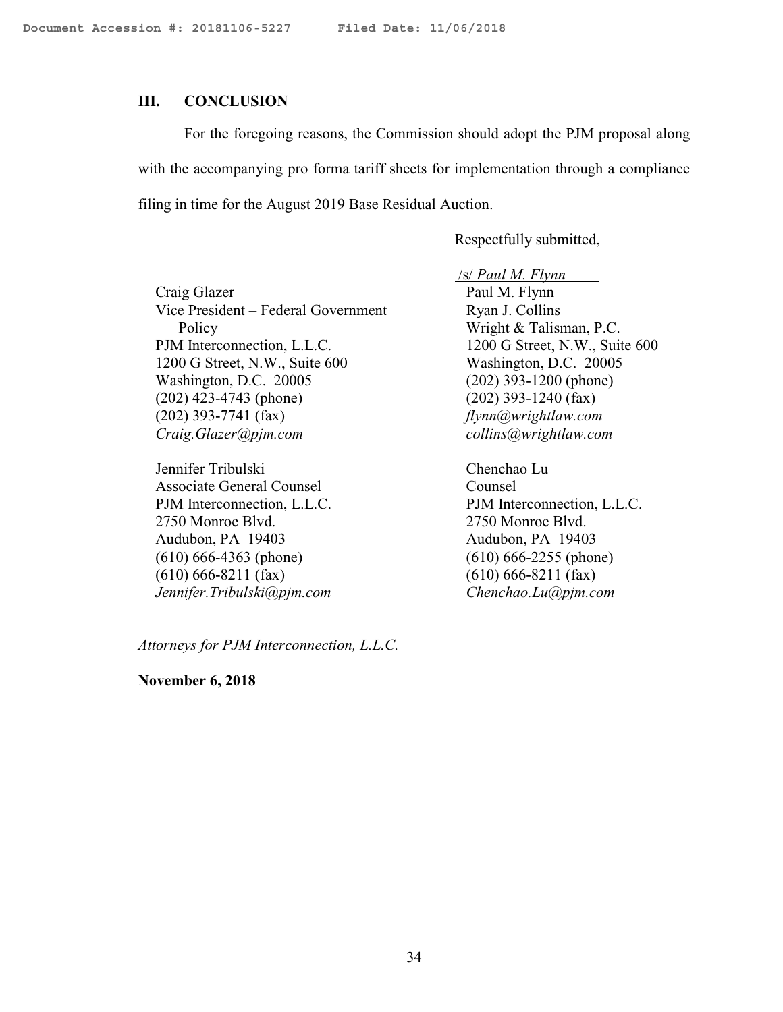#### **III. CONCLUSION**

For the foregoing reasons, the Commission should adopt the PJM proposal along with the accompanying pro forma tariff sheets for implementation through a compliance filing in time for the August 2019 Base Residual Auction.

Respectfully submitted,

Craig Glazer Vice President – Federal Government Policy PJM Interconnection, L.L.C. 1200 G Street, N.W., Suite 600 Washington, D.C. 20005 (202) 423-4743 (phone) (202) 393-7741 (fax) *Craig.Glazer@pjm.com*

Jennifer Tribulski Associate General Counsel PJM Interconnection, L.L.C. 2750 Monroe Blvd. Audubon, PA 19403 (610) 666-4363 (phone) (610) 666-8211 (fax) *Jennifer.Tribulski@pjm.com* /s/ *Paul M. Flynn* Paul M. Flynn Ryan J. Collins Wright & Talisman, P.C. 1200 G Street, N.W., Suite 600 Washington, D.C. 20005 (202) 393-1200 (phone) (202) 393-1240 (fax) *flynn@wrightlaw.com collins@wrightlaw.com*

Chenchao Lu Counsel PJM Interconnection, L.L.C. 2750 Monroe Blvd. Audubon, PA 19403 (610) 666-2255 (phone) (610) 666-8211 (fax) *Chenchao.Lu@pjm.com*

*Attorneys for PJM Interconnection, L.L.C.*

**November 6, 2018**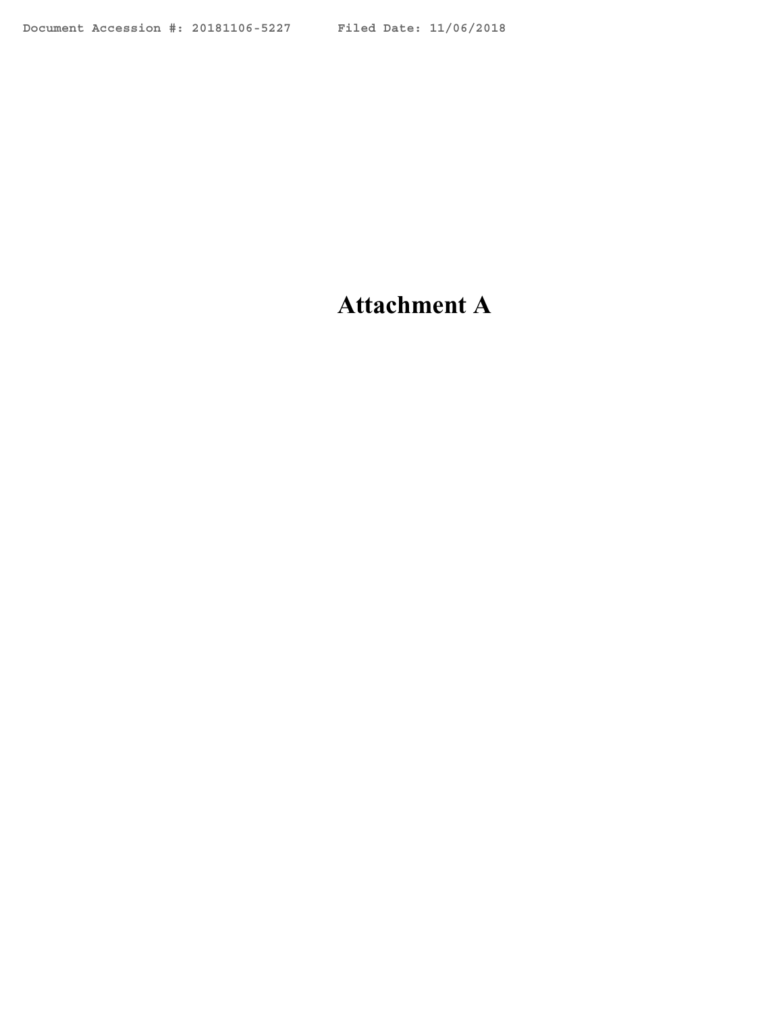# **Attachment A**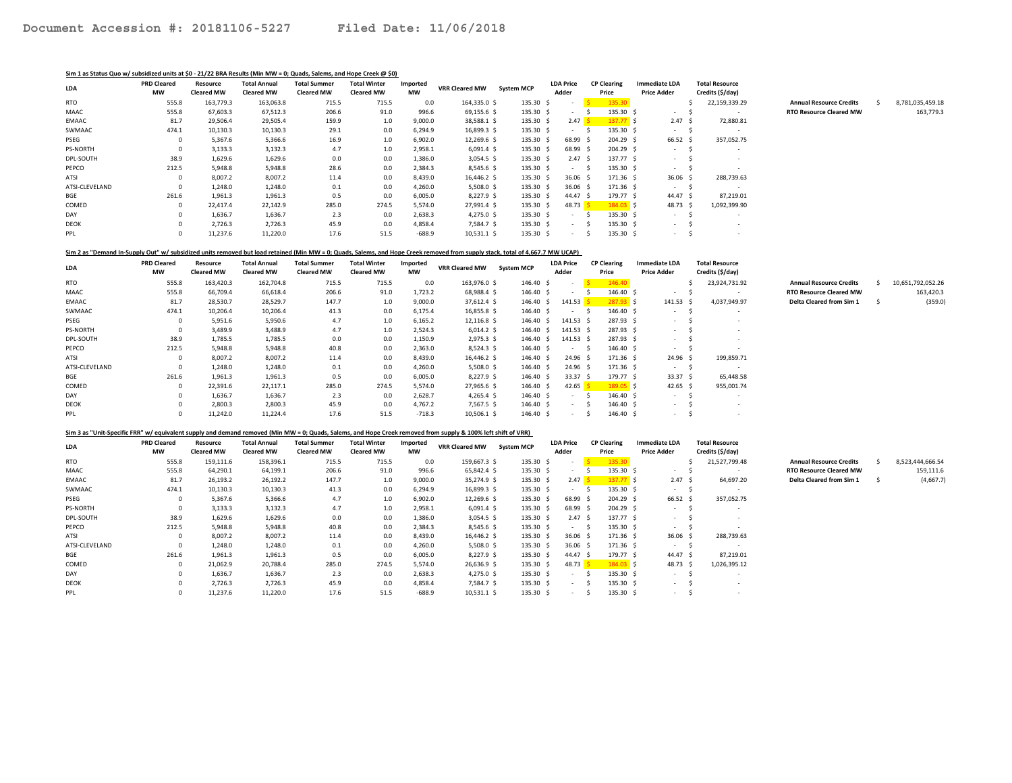#### Sim 1 as Status Quo w/ subsidized units at \$0 - 21/22 BRA Results (Min MW = 0; Quads, Salems, and Hope Creek @ \$0)

| LDA            | <b>PRD Cleared</b><br>МW | Resource<br><b>Cleared MW</b> | <b>Total Annual</b><br><b>Cleared MW</b> | <b>Total Summer</b><br><b>Cleared MW</b> | <b>Total Winter</b><br><b>Cleared MW</b> | Imported<br><b>MW</b> | <b>VRR Cleared MW</b> | <b>System MCP</b> | <b>LDA Price</b><br>Adder             | <b>CP Clearing</b><br>Price | <b>Immediate LDA</b><br><b>Price Adder</b> | <b>Total Resource</b><br>Credits (\$/day) |                                |                  |
|----------------|--------------------------|-------------------------------|------------------------------------------|------------------------------------------|------------------------------------------|-----------------------|-----------------------|-------------------|---------------------------------------|-----------------------------|--------------------------------------------|-------------------------------------------|--------------------------------|------------------|
| <b>RTO</b>     | 555.8                    | 163,779.3                     | 163,063.8                                | 715.5                                    | 715.5                                    | 0.0                   | 164,335.0 \$          | 135.30            |                                       | 135.30                      |                                            | 22,159,339.29                             | <b>Annual Resource Credits</b> | 8,781,035,459.18 |
| MAAC           | 555.8                    | 67,603.3                      | 67,512.3                                 | 206.6                                    | 91.0                                     | 996.6                 | 69,155.6 \$           | 135.30 \$         | $\sim$                                | 135.30                      | $\sim$                                     | $\sim$                                    | <b>RTO Resource Cleared MW</b> | 163,779.3        |
| EMAAC          | 81.7                     | 29,506.4                      | 29,505.4                                 | 159.9                                    | 1.0                                      | 9,000.0               | 38,588.1 \$           | 135.30 \$         | 2.47S                                 | 137.77 S                    | 2.47S                                      | 72,880.81                                 |                                |                  |
| SWMAAC         | 474.1                    | 10,130.3                      | 10,130.3                                 | 29.1                                     | 0.0                                      | 6,294.9               | 16,899.3 \$           | 135.30 \$         | $\sim$                                | 135.30 \$                   | $\sim 100$                                 | $\sim$                                    |                                |                  |
| PSEG           |                          | 5,367.6                       | 5,366.6                                  | 16.9                                     | 1.0                                      | 6,902.0               | 12,269.6 \$           | 135.30 \$         | 68.99 \$                              | 204.29 \$                   | 66.52 \$                                   | 357,052.75                                |                                |                  |
| PS-NORTH       |                          | 3,133.3                       | 3,132.3                                  | 4.7                                      | 1.0                                      | 2,958.1               | $6,091.4 \text{ }$    | 135.30            | 68.99 \$                              | 204.29 \$                   | $\sim$                                     | $\overline{\phantom{a}}$                  |                                |                  |
| DPL-SOUTH      | 38.9                     | 1,629.6                       | 1,629.6                                  | 0.0                                      | 0.0                                      | 1,386.0               | $3,054.5$ \$          | 135.30 \$         | 2.47S                                 | 137.77 \$                   | $\sim$                                     |                                           |                                |                  |
| PEPCO          | 212.5                    | 5,948.8                       | 5,948.8                                  | 28.6                                     | 0.0                                      | 2,384.3               | 8,545.6 \$            | 135.30 \$         | $\sim$                                | 135.30 \$                   | $\sim$                                     | $\overline{\phantom{a}}$                  |                                |                  |
| ATSI           |                          | 8,007.2                       | 8,007.2                                  | 11.4                                     | 0.0                                      | 8,439.0               | 16,446.2 \$           | 135.30 \$         | $36.06$ \$                            | $171.36 \quad $$            | $36.06$ \$                                 | 288,739.63                                |                                |                  |
| ATSI-CLEVELAND |                          | 1,248.0                       | 1,248.0                                  | 0.1                                      | 0.0                                      | 4,260.0               | $5,508.0$ \$          | 135.30 \$         | $36.06$ \$                            | $171.36 \quad $$            | $\sim$ 100 $\mu$                           | $\sim$                                    |                                |                  |
| BGE            | 261.6                    | 1,961.3                       | 1,961.3                                  | 0.5                                      | 0.0                                      | 6,005.0               | 8,227.9 \$            | 135.30 \$         | 44.47 \$                              | 179.77 \$                   | 44.47 \$                                   | 87,219.01                                 |                                |                  |
| COMED          |                          | 22,417.4                      | 22,142.9                                 | 285.0                                    | 274.5                                    | 5,574.0               | 27,991.4 \$           | 135.30 \$         | 48.73 $\frac{\mathsf{S}}{\mathsf{S}}$ | $184.03$ \$                 | 48.73 \$                                   | 1,092,399.90                              |                                |                  |
| DAY            |                          | 1,636.7                       | 1,636.7                                  | 2.3                                      | 0.0                                      | 2,638.3               | $4,275.0$ \$          | 135.30 \$         | $\sim$                                | 135.30 \$                   | $\sim$ 100 $\mu$                           | $\sim$                                    |                                |                  |
| DEOK           |                          | 2,726.3                       | 2,726.3                                  | 45.9                                     | 0.0                                      | 4,858.4               | 7,584.7 \$            | 135.30 \$         | $\sim$                                | 135.30 \$                   | $\sim$                                     | $\overline{\phantom{a}}$                  |                                |                  |
| PPL            |                          | 11,237.6                      | 11,220.0                                 | 17.6                                     | 51.5                                     | $-688.9$              | $10,531.1$ \$         | 135.30 \$         | $\sim$                                | 135.30 \$                   | $\sim$                                     | $\overline{\phantom{a}}$                  |                                |                  |

Sim 2 as "Demand In-Supply Out" w/ subsidized units removed but load retained (Min MW = 0; Quads, Salems, and Hope Creek removed from supply stack, total of 4,667.7 MW UCAP)

| LDA             | <b>PRD Cleared</b><br>МW | Resource<br><b>Cleared MW</b> | <b>Total Annual</b><br><b>Cleared MW</b> | <b>Total Summer</b><br><b>Cleared MW</b> | <b>Total Winter</b><br><b>Cleared MW</b> | Imported<br><b>MW</b> | <b>VRR Cleared MW</b> | <b>System MCP</b> | <b>LDA Price</b><br>Adder | <b>CP Clearing</b><br>Price |                   | <b>Immediate LDA</b><br><b>Price Adder</b> |    | <b>Total Resource</b><br>Credits (\$/day) |                                |   |                   |
|-----------------|--------------------------|-------------------------------|------------------------------------------|------------------------------------------|------------------------------------------|-----------------------|-----------------------|-------------------|---------------------------|-----------------------------|-------------------|--------------------------------------------|----|-------------------------------------------|--------------------------------|---|-------------------|
| RTO             | 555.8                    | 163,420.3                     | 162,704.8                                | 715.5                                    | 715.5                                    | 0.0                   | 163,976.0 \$          | 146.40            | $\sim$                    |                             | 146.40            |                                            |    | 23,924,731.92                             | <b>Annual Resource Credits</b> |   | 10,651,792,052.26 |
| MAAC            | 555.8                    | 66,709.4                      | 66,618.4                                 | 206.6                                    | 91.0                                     | 1,723.2               | 68,988.4 \$           | 146.40 \$         | $\sim$                    |                             | 146.40            | $\sim$                                     |    | $\sim$                                    | <b>RTO Resource Cleared MW</b> |   | 163,420.3         |
| EMAAC           | 81.7                     | 28,530.7                      | 28,529.7                                 | 147.7                                    | 1.0                                      | 9,000.0               | 37,612.4 \$           | 146.40            | $141.53$ \$               |                             | $287.93$ \$       | 141.53 \$                                  |    | 4,037,949.97                              | Delta Cleared from Sim 1       | s | (359.0            |
| SWMAAC          | 474.1                    | 10,206.4                      | 10,206.4                                 | 41.3                                     | 0.0                                      | 6,175.4               | 16,855.8 \$           | 146.40            | $\sim$                    |                             | 146.40 \$         | $\sim$                                     |    | $\sim$                                    |                                |   |                   |
| PSEG            |                          | 5,951.6                       | 5,950.6                                  | 4.7                                      | 1.0                                      | 6,165.2               | 12,116.8 \$           | 146.40            | $141.53 \quad $$          |                             | 287.93 \$         | $\sim$                                     |    |                                           |                                |   |                   |
| <b>PS-NORTH</b> |                          | 3,489.9                       | 3,488.9                                  | 4.7                                      | 1.0                                      | 2,524.3               | $6,014.2 \text{ }$    | 146.40            | 141.53 \$                 |                             | 287.93 \$         | $\sim$                                     |    |                                           |                                |   |                   |
| DPL-SOUTH       | 38.9                     | 1,785.5                       | 1,785.5                                  | 0.0                                      | 0.0                                      | 1,150.9               | $2,975.3$ \$          | 146.40 \$         | 141.53 \$                 |                             | 287.93 \$         | $\sim$                                     |    |                                           |                                |   |                   |
| PEPCO           | 212.5                    | 5,948.8                       | 5,948.8                                  | 40.8                                     | 0.0                                      | 2,363.0               | 8,524.3 \$            | 146.40 \$         | <b>Service</b>            |                             | 146.40 \$         | $\sim$                                     |    |                                           |                                |   |                   |
| ATSI            |                          | 8,007.2                       | 8,007.2                                  | 11.4                                     | 0.0                                      | 8,439.0               | 16,446.2 \$           | 146.40 \$         | 24.96 <sup>5</sup>        |                             | $171.36 \text{ }$ | 24.96 <sup>5</sup>                         |    | 199,859.71                                |                                |   |                   |
| ATSI-CLEVELAND  |                          | 1,248.0                       | 1,248.0                                  | 0.1                                      | 0.0                                      | 4,260.0               | $5,508.0$ \$          | 146.40 \$         | 24.96 <sup>5</sup>        |                             | $171.36 \quad $$  | <b>Service</b>                             | -5 | $\sim$                                    |                                |   |                   |
| BGE             | 261.6                    | 1,961.3                       | 1,961.3                                  | 0.5                                      | 0.0                                      | 6,005.0               | $8,227.9$ \$          | 146.40            | 33.37 <sup>5</sup>        |                             | 179.77 S          | 33.37 \$                                   |    | 65,448.58                                 |                                |   |                   |
| COMED           |                          | 22,391.6                      | 22,117.1                                 | 285.0                                    | 274.5                                    | 5,574.0               | 27,965.6 \$           | 146.40            | 42.65                     |                             | $189.05$ \$       | 42.65 \$                                   |    | 955,001.74                                |                                |   |                   |
| DAY             |                          | 1,636.7                       | 1,636.7                                  | 2.3                                      | 0.0                                      | 2,628.7               | $4,265.4$ \$          | 146.40 \$         | $\sim$                    |                             | 146.40 \$         | $\sim$                                     |    |                                           |                                |   |                   |
| <b>DEOK</b>     |                          | 2,800.3                       | 2,800.3                                  | 45.9                                     | 0.0                                      | 4,767.2               | 7,567.5 \$            | 146.40 \$         | <b>Service</b>            |                             | 146.40 \$         | $\sim$                                     |    |                                           |                                |   |                   |
| PPL             |                          | 11,242.0                      | 11,224.4                                 | 17.6                                     | 51.5                                     | $-718.3$              | 10,506.1 \$           | 146.40 \$         | <b>Service</b>            |                             | 146.40 S          | $\sim$                                     |    | $\sim$                                    |                                |   |                   |

#### Sim 3 as "Unit-Specific FRR" w/ equivalent supply and demand removed (Min MW = 0; Quads, Salems, and Hope Creek removed from supply & 100% left shift of VRR)

| LDA            | <b>PRD Cleared</b> | Resource          | <b>Total Annual</b> | <b>Total Summer</b> | <b>Total Winter</b> | Imported  | <b>VRR Cleared MW</b> | <b>System MCP</b> | <b>LDA Price</b>                      |           | <b>CP Clearing</b> | <b>Immediate LDA</b> | <b>Total Resource</b> |                                |                  |
|----------------|--------------------|-------------------|---------------------|---------------------|---------------------|-----------|-----------------------|-------------------|---------------------------------------|-----------|--------------------|----------------------|-----------------------|--------------------------------|------------------|
|                | MW                 | <b>Cleared MW</b> | <b>Cleared MW</b>   | <b>Cleared MW</b>   | <b>Cleared MW</b>   | <b>MW</b> |                       |                   | Adder                                 |           | Price              | <b>Price Adder</b>   | Credits (\$/day)      |                                |                  |
| <b>RTO</b>     | 555.8              | 159,111.6         | 158,396.1           | 715.5               | 715.5               | 0.0       | 159,667.3 \$          | 135.30 \$         | $\sim$                                | <u>is</u> | 135.30             |                      | 21,527,799.48         | <b>Annual Resource Credits</b> | 8,523,444,666.54 |
| MAAC           | 555.8              | 64,290.1          | 64,199.1            | 206.6               | 91.0                | 996.6     | 65,842.4 \$           | 135.30 \$         |                                       |           | 135.30             | <b>Service</b>       |                       | <b>RTO Resource Cleared MW</b> | 159,111.6        |
| <b>EMAAC</b>   | 81.7               | 26,193.2          | 26,192.2            | 147.7               | 1.0                 | 9,000.0   | 35,274.9 \$           | 135.30 \$         | 2.47S                                 |           | 137.77S            | 2.47 S               | 64,697.20             | Delta Cleared from Sim 1       | (4,667.7)        |
| SWMAAC         | 474.1              | 10,130.3          | 10,130.3            | 41.3                | 0.0                 | 6,294.9   | 16,899.3 \$           | 135.30 \$         | $\sim$                                |           | 135.30 \$          | <b>Service</b>       | $\sim$                |                                |                  |
| PSEG           |                    | 5,367.6           | 5,366.6             | 4.7                 | 1.0                 | 6,902.0   | 12,269.6 \$           | 135.30 \$         | 68.99 \$                              |           | $204.29$ \$        | 66.52 \$             | 357,052.75            |                                |                  |
| PS-NORTH       |                    | 3,133.3           | 3,132.3             | 4.7                 | 1.0                 | 2,958.1   | $6,091.4 \text{ }$    | 135.30            | 68.99 \$                              |           | 204.29 \$          | $\sim$               |                       |                                |                  |
| DPL-SOUTH      | 38.9               | 1,629.6           | 1,629.6             | 0.0                 | 0.0                 | 1,386.0   | $3,054.5$ \$          | 135.30 \$         | 2.47S                                 |           | 137.77 \$          | $\sim$               |                       |                                |                  |
| PEPCO          | 212.5              | 5,948.8           | 5,948.8             | 40.8                | 0.0                 | 2,384.3   | 8,545.6 \$            | 135.30 \$         | $\sim$                                |           | 135.30 \$          | $\sim$               |                       |                                |                  |
| ATSI           |                    | 8,007.2           | 8,007.2             | 11.4                | 0.0                 | 8,439.0   | 16,446.2 \$           | 135.30 \$         | $36.06$ \$                            |           | 171.36 \$          | $36.06$ \$           | 288,739.63            |                                |                  |
| ATSI-CLEVELAND |                    | 1,248.0           | 1,248.0             | 0.1                 | 0.0                 | 4,260.0   | $5,508.0$ \$          | 135.30 \$         | $36.06$ \$                            |           | 171.36 \$          | $\sim$               | <b>.</b>              |                                |                  |
| BGE            | 261.6              | 1,961.3           | 1,961.3             | 0.5                 | 0.0                 | 6,005.0   | $8,227.9$ \$          | 135.30 \$         | 44.47 \$                              |           | 179.77 \$          | 44.47 S              | 87,219.01             |                                |                  |
| COMED          |                    | 21,062.9          | 20,788.4            | 285.0               | 274.5               | 5,574.0   | 26,636.9 \$           | 135.30            | 48.73 $\frac{\mathsf{S}}{\mathsf{S}}$ |           | $184.03$ \$        | 48.73 \$             | 1,026,395.12          |                                |                  |
| DAY            |                    | 1,636.7           | 1,636.7             | 2.3                 | 0.0                 | 2,638.3   | $4,275.0$ \$          | 135.30 \$         | <b>COL</b>                            |           | 135.30 \$          | $\sim$               | $\sim$                |                                |                  |
| <b>DEOK</b>    |                    | 2,726.3           | 2,726.3             | 45.9                | 0.0                 | 4,858.4   | 7,584.7 \$            | $135.30 \quad $$  | <b>Service</b>                        |           | 135.30 \$          | $\sim$               |                       |                                |                  |
| PPL            |                    | 11,237.6          | 11,220.0            | 17.6                | 51.5                | $-688.9$  | $10,531.1$ \$         | 135.30 \$         | <b>Service</b>                        |           | 135.30 \$          | $\sim$               |                       |                                |                  |

| <b>Annual Resource Credits</b> | 10.651.792.052.26 |
|--------------------------------|-------------------|
| <b>RTO Resource Cleared MW</b> | 163.420.3         |
| Delta Cleared from Sim 1       | (359.0)           |

| <b>Annual Resource Credits</b> | Ś | 8.523.444.666.54 |
|--------------------------------|---|------------------|
| <b>RTO Resource Cleared MW</b> |   | 159,111.6        |
| Delta Cleared from Sim 1       | Ś | (4,667.7)        |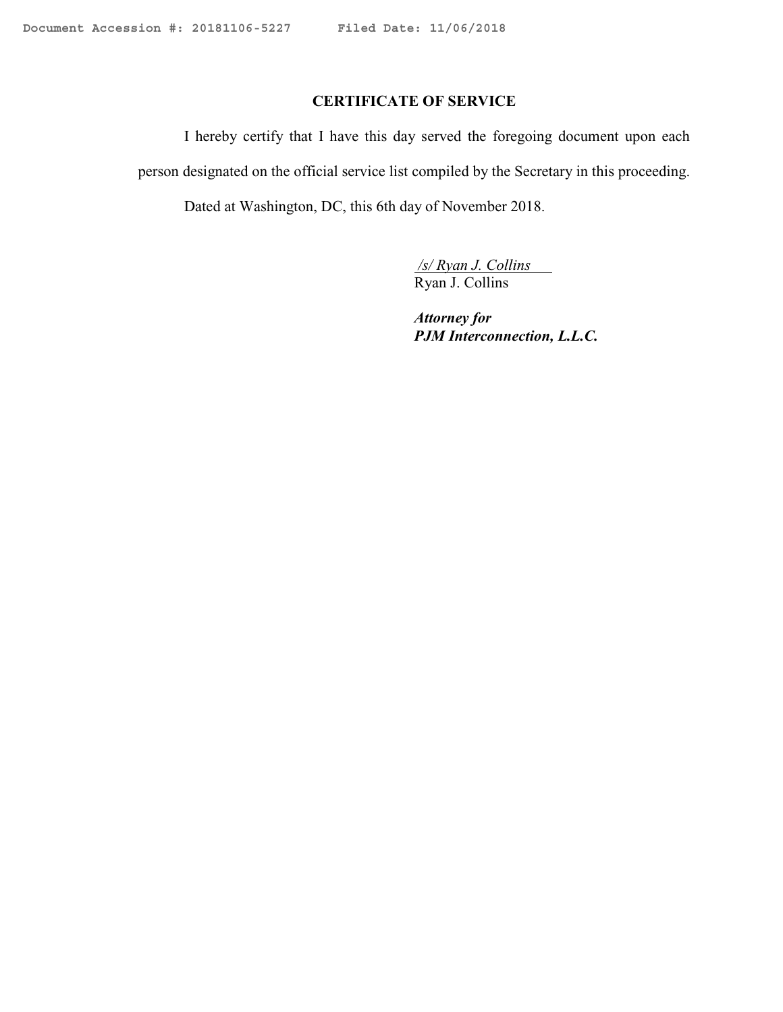# **CERTIFICATE OF SERVICE**

I hereby certify that I have this day served the foregoing document upon each person designated on the official service list compiled by the Secretary in this proceeding. Dated at Washington, DC, this 6th day of November 2018.

> */s/ Ryan J. Collins* Ryan J. Collins

*Attorney for PJM Interconnection, L.L.C.*